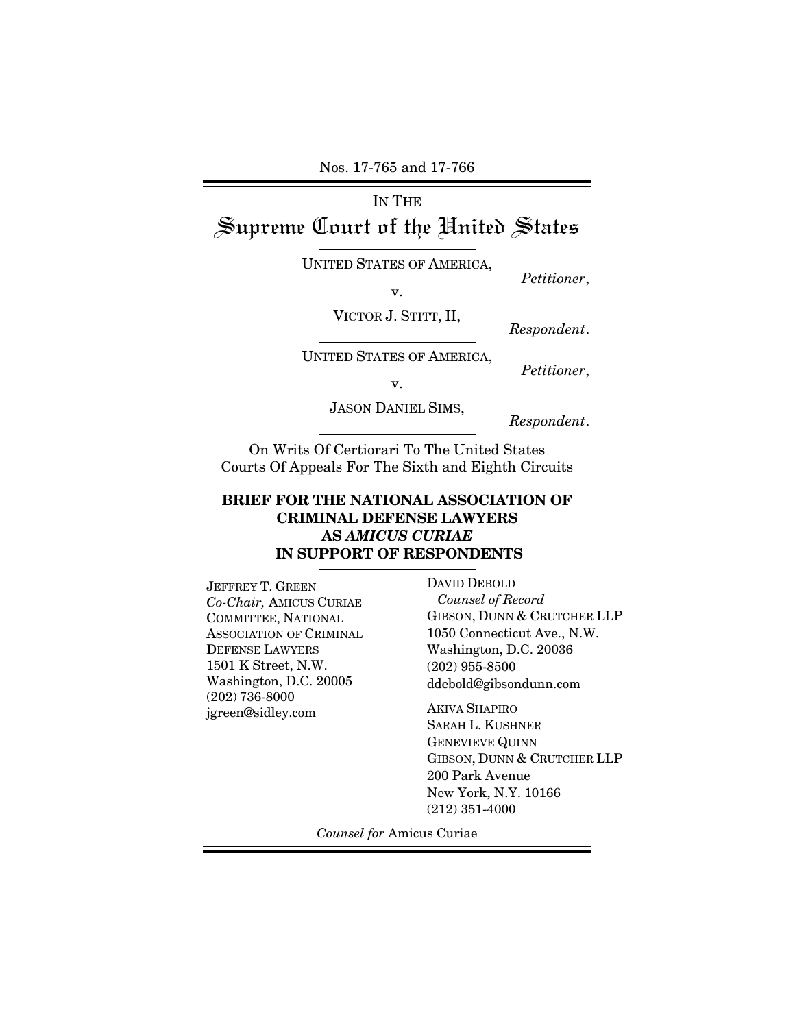Nos. 17-765 and 17-766

# IN THE Supreme Court of the Hnited States

UNITED STATES OF AMERICA, *Petitioner*, *v*.

VICTOR J. STITT, II, *Respondent*.

UNITED STATES OF AMERICA, *Petitioner*, v.

JASON DANIEL SIMS, *Respondent*.

On Writs Of Certiorari To The United States Courts Of Appeals For The Sixth and Eighth Circuits

### **BRIEF FOR THE NATIONAL ASSOCIATION OF CRIMINAL DEFENSE LAWYERS AS** *AMICUS CURIAE*   **IN SUPPORT OF RESPONDENTS**

JEFFREY T. GREEN *Co-Chair,* AMICUS CURIAE COMMITTEE, NATIONAL ASSOCIATION OF CRIMINAL DEFENSE LAWYERS 1501 K Street, N.W. Washington, D.C. 20005 (202) 736-8000 jgreen@sidley.com

DAVID DEBOLD  *Counsel of Record*  GIBSON, DUNN & CRUTCHER LLP 1050 Connecticut Ave., N.W. Washington, D.C. 20036 (202) 955-8500 ddebold@gibsondunn.com

AKIVA SHAPIRO SARAH L. KUSHNER GENEVIEVE QUINN GIBSON, DUNN & CRUTCHER LLP 200 Park Avenue New York, N.Y. 10166 (212) 351-4000

*Counsel for* Amicus Curiae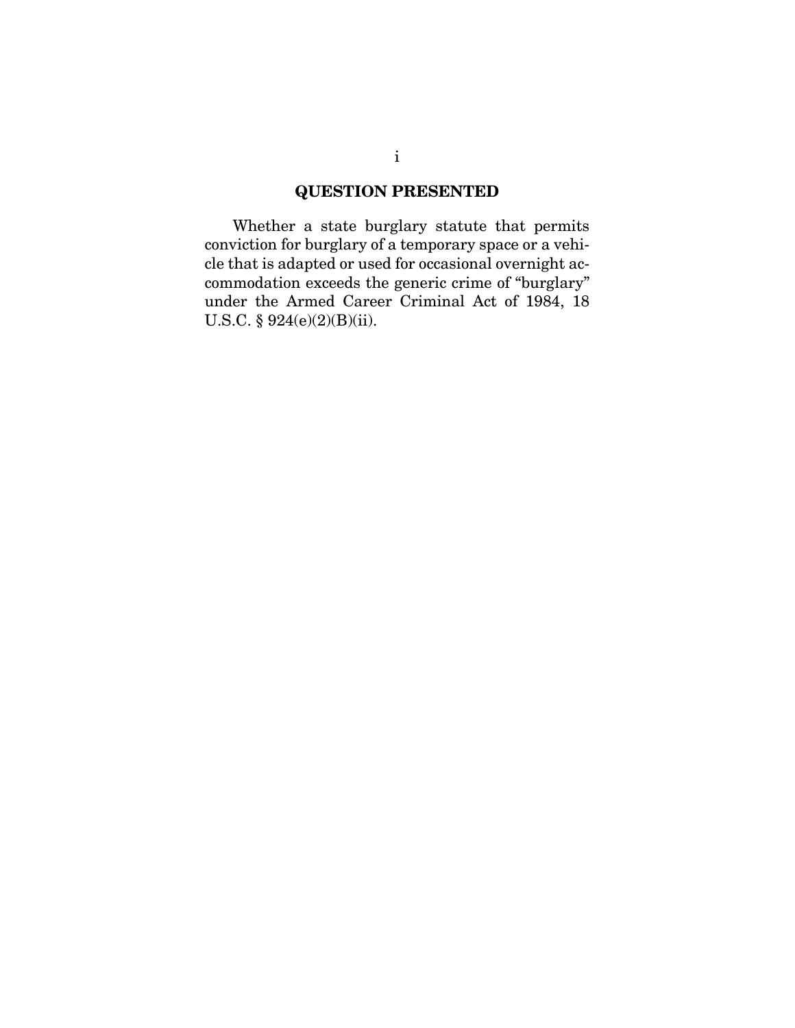### **QUESTION PRESENTED**

Whether a state burglary statute that permits conviction for burglary of a temporary space or a vehicle that is adapted or used for occasional overnight accommodation exceeds the generic crime of "burglary" under the Armed Career Criminal Act of 1984, 18 U.S.C. § 924(e)(2)(B)(ii).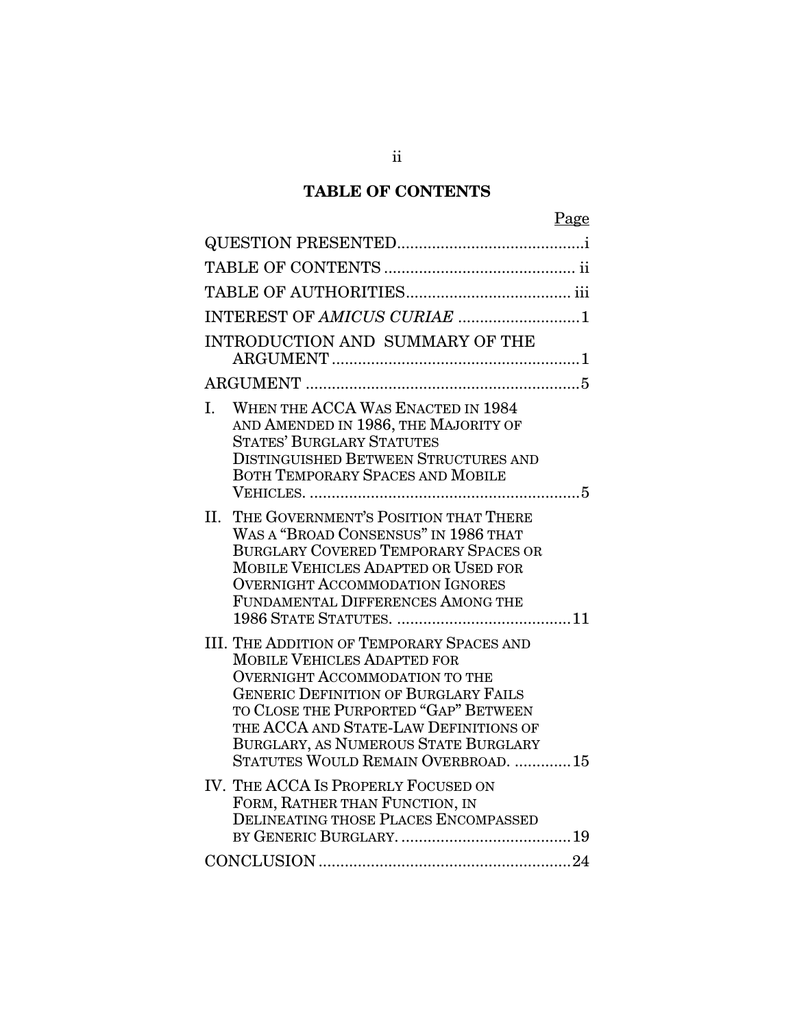# **TABLE OF CONTENTS**

|                                                                                                                                                                                                                                                                                                                                                | Page |
|------------------------------------------------------------------------------------------------------------------------------------------------------------------------------------------------------------------------------------------------------------------------------------------------------------------------------------------------|------|
|                                                                                                                                                                                                                                                                                                                                                |      |
|                                                                                                                                                                                                                                                                                                                                                |      |
|                                                                                                                                                                                                                                                                                                                                                |      |
|                                                                                                                                                                                                                                                                                                                                                |      |
| INTRODUCTION AND SUMMARY OF THE                                                                                                                                                                                                                                                                                                                |      |
|                                                                                                                                                                                                                                                                                                                                                |      |
| WHEN THE ACCA WAS ENACTED IN 1984<br>I.<br>AND AMENDED IN 1986, THE MAJORITY OF<br><b>STATES' BURGLARY STATUTES</b><br><b>DISTINGUISHED BETWEEN STRUCTURES AND</b><br><b>BOTH TEMPORARY SPACES AND MOBILE</b>                                                                                                                                  |      |
| THE GOVERNMENT'S POSITION THAT THERE<br>II.<br>WAS A "BROAD CONSENSUS" IN 1986 THAT<br><b>BURGLARY COVERED TEMPORARY SPACES OR</b><br>MOBILE VEHICLES ADAPTED OR USED FOR<br><b>OVERNIGHT ACCOMMODATION IGNORES</b><br>FUNDAMENTAL DIFFERENCES AMONG THE                                                                                       |      |
| <b>III. THE ADDITION OF TEMPORARY SPACES AND</b><br><b>MOBILE VEHICLES ADAPTED FOR</b><br><b>OVERNIGHT ACCOMMODATION TO THE</b><br><b>GENERIC DEFINITION OF BURGLARY FAILS</b><br>TO CLOSE THE PURPORTED "GAP" BETWEEN<br>THE ACCA AND STATE-LAW DEFINITIONS OF<br>BURGLARY, AS NUMEROUS STATE BURGLARY<br>STATUTES WOULD REMAIN OVERBROAD. 15 |      |
| IV. THE ACCA IS PROPERLY FOCUSED ON<br>FORM, RATHER THAN FUNCTION, IN<br>DELINEATING THOSE PLACES ENCOMPASSED                                                                                                                                                                                                                                  |      |
|                                                                                                                                                                                                                                                                                                                                                |      |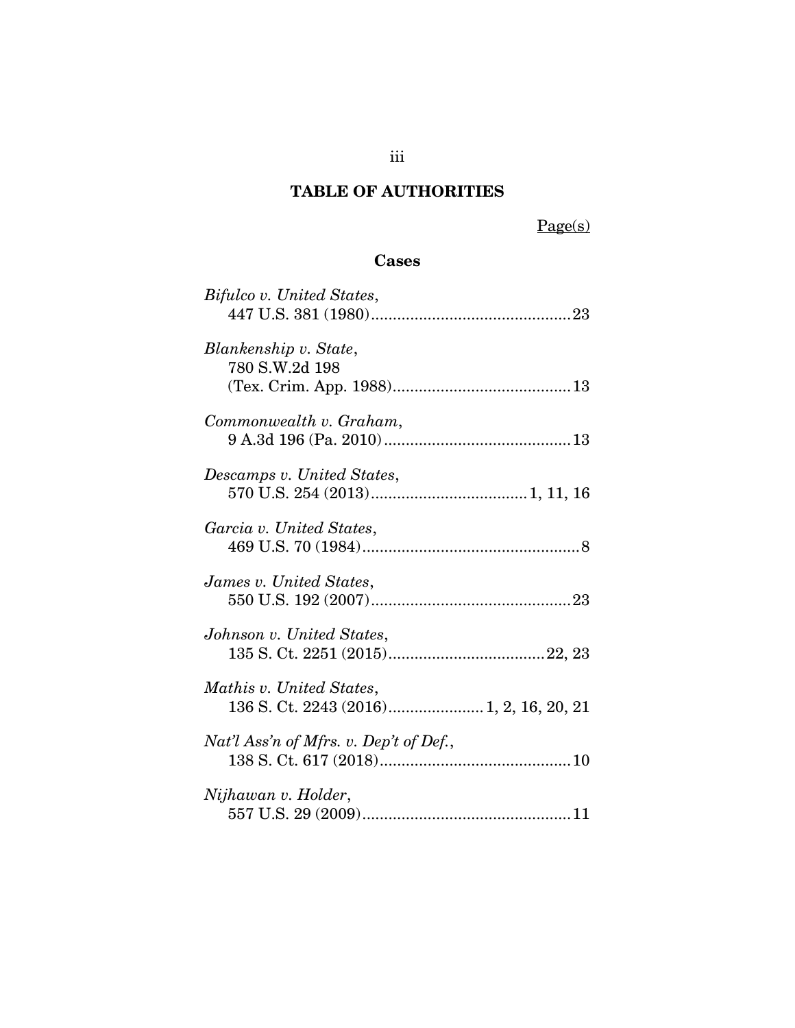# **TABLE OF AUTHORITIES**

Page(s)

## **Cases**

| Bifulco v. United States,                                           |
|---------------------------------------------------------------------|
| Blankenship v. State,<br>780 S.W.2d 198                             |
| Commonwealth v. Graham,                                             |
| Descamps v. United States,                                          |
| Garcia v. United States,                                            |
| James v. United States,                                             |
| Johnson v. United States,                                           |
| Mathis v. United States,<br>136 S. Ct. 2243 (2016) 1, 2, 16, 20, 21 |
| Nat'l Ass'n of Mfrs. v. Dep't of Def.,                              |
| Nijhawan v. Holder,                                                 |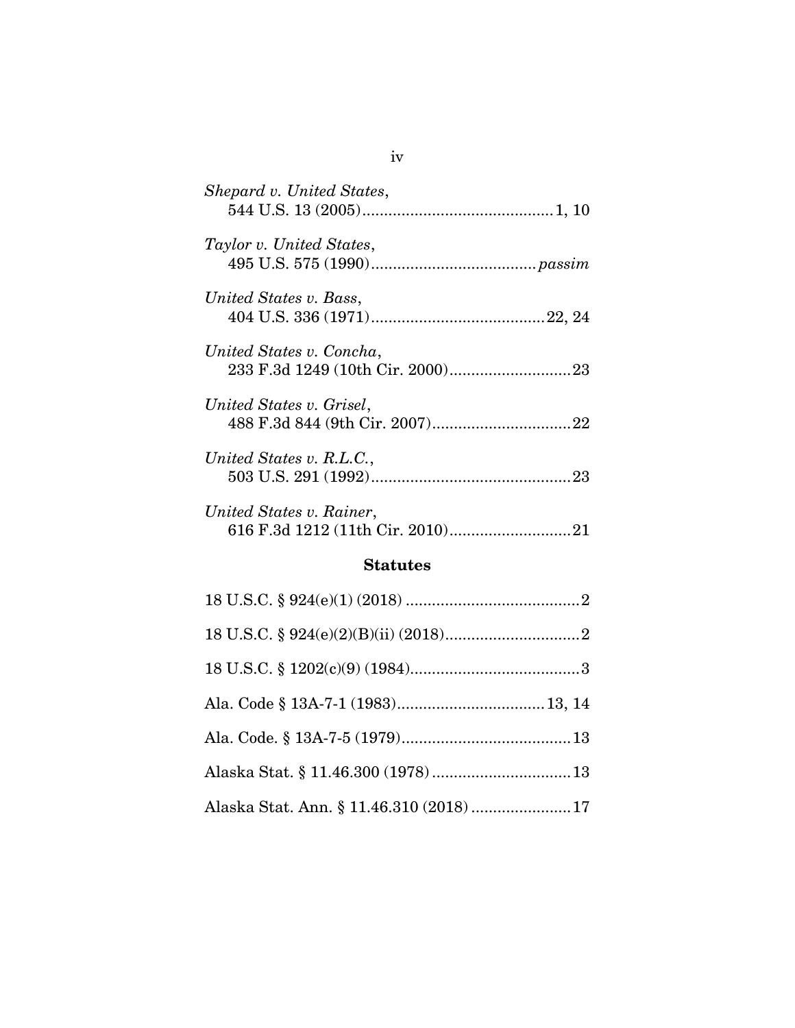| Shepard v. United States, |
|---------------------------|
| Taylor v. United States,  |
| United States v. Bass,    |
| United States v. Concha,  |
| United States v. Grisel,  |
| United States v. R.L.C.,  |
| United States v. Rainer,  |

### **Statutes**

| Alaska Stat. Ann. § 11.46.310 (2018)  17 |  |
|------------------------------------------|--|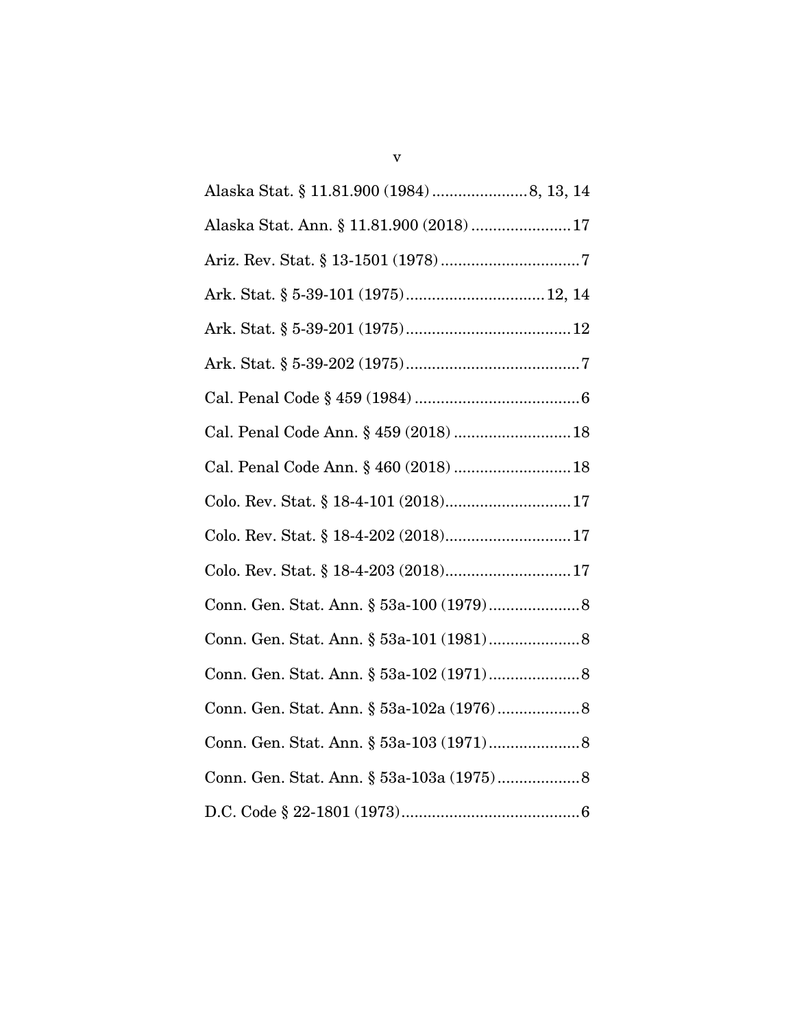| Alaska Stat. Ann. § 11.81.900 (2018) 17 |
|-----------------------------------------|
|                                         |
|                                         |
|                                         |
|                                         |
|                                         |
| Cal. Penal Code Ann. § 459 (2018)  18   |
| Cal. Penal Code Ann. § 460 (2018)  18   |
|                                         |
|                                         |
|                                         |
|                                         |
|                                         |
|                                         |
|                                         |
|                                         |
|                                         |
|                                         |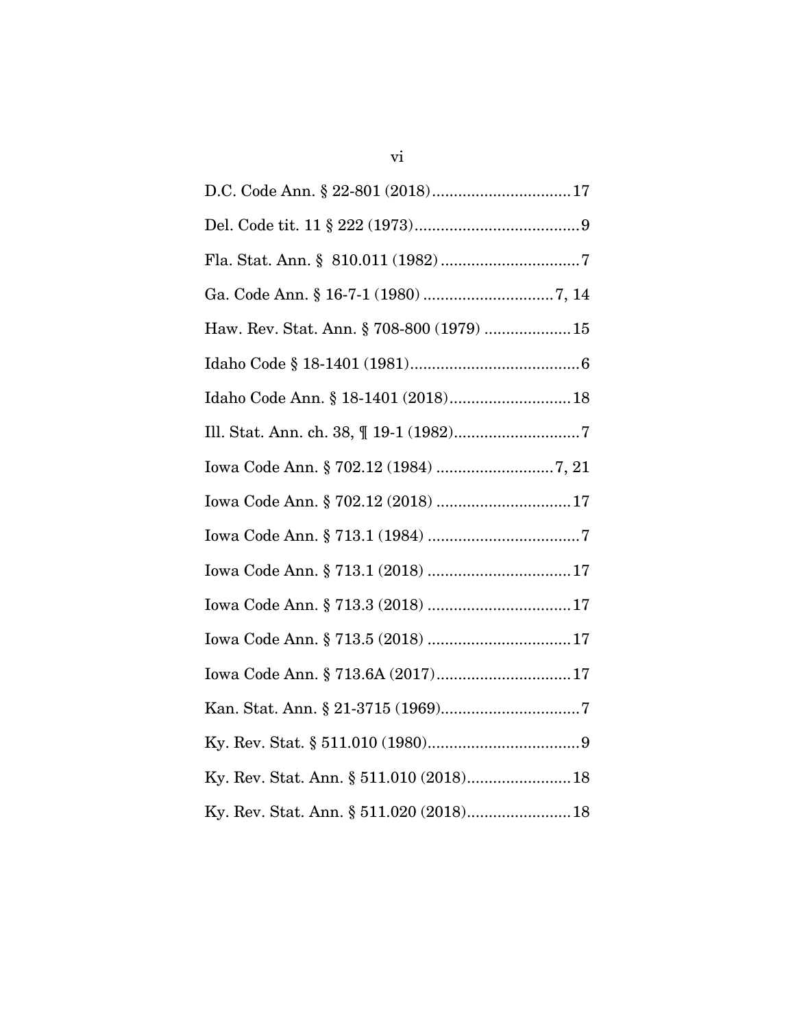| Haw. Rev. Stat. Ann. § 708-800 (1979)  15 |
|-------------------------------------------|
|                                           |
| Idaho Code Ann. § 18-1401 (2018) 18       |
|                                           |
|                                           |
| Iowa Code Ann. § 702.12 (2018) 17         |
|                                           |
| Iowa Code Ann. § 713.1 (2018) 17          |
|                                           |
|                                           |
| Iowa Code Ann. § 713.6A (2017)17          |
|                                           |
|                                           |
| Ky. Rev. Stat. Ann. § 511.010 (2018) 18   |
|                                           |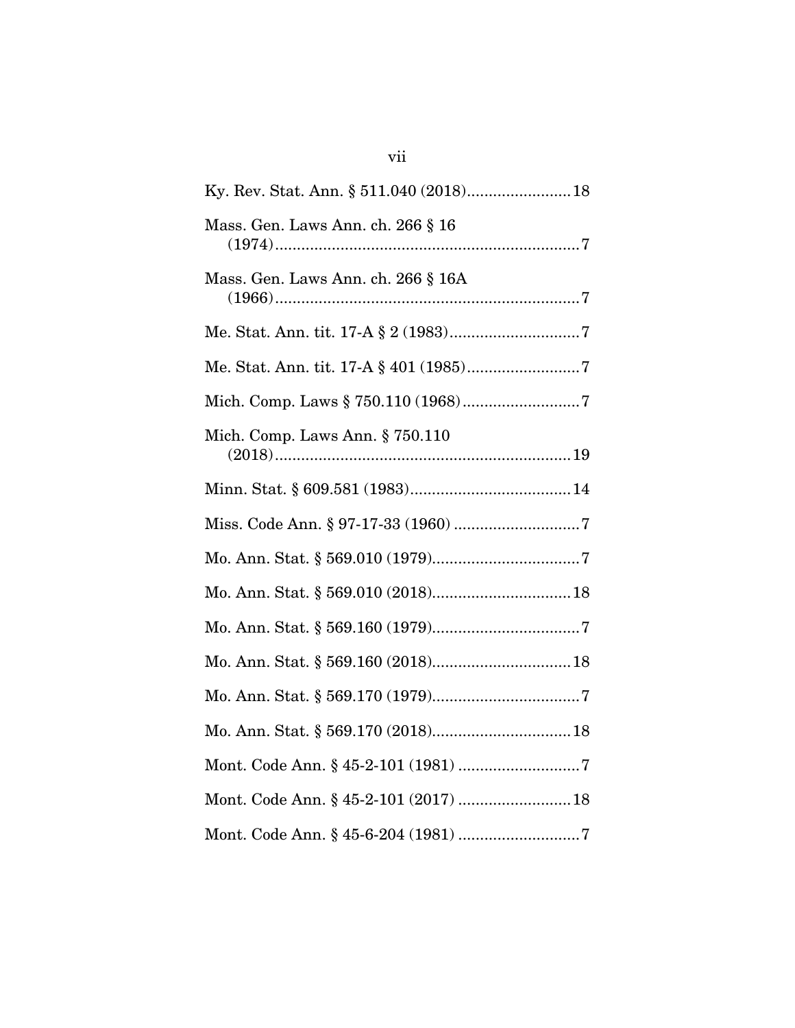| Mass. Gen. Laws Ann. ch. 266 § 16     |
|---------------------------------------|
| Mass. Gen. Laws Ann. ch. 266 § 16A    |
|                                       |
|                                       |
|                                       |
| Mich. Comp. Laws Ann. $\S 750.110$    |
|                                       |
|                                       |
|                                       |
|                                       |
|                                       |
|                                       |
|                                       |
|                                       |
|                                       |
| Mont. Code Ann. § 45-2-101 (2017)  18 |
|                                       |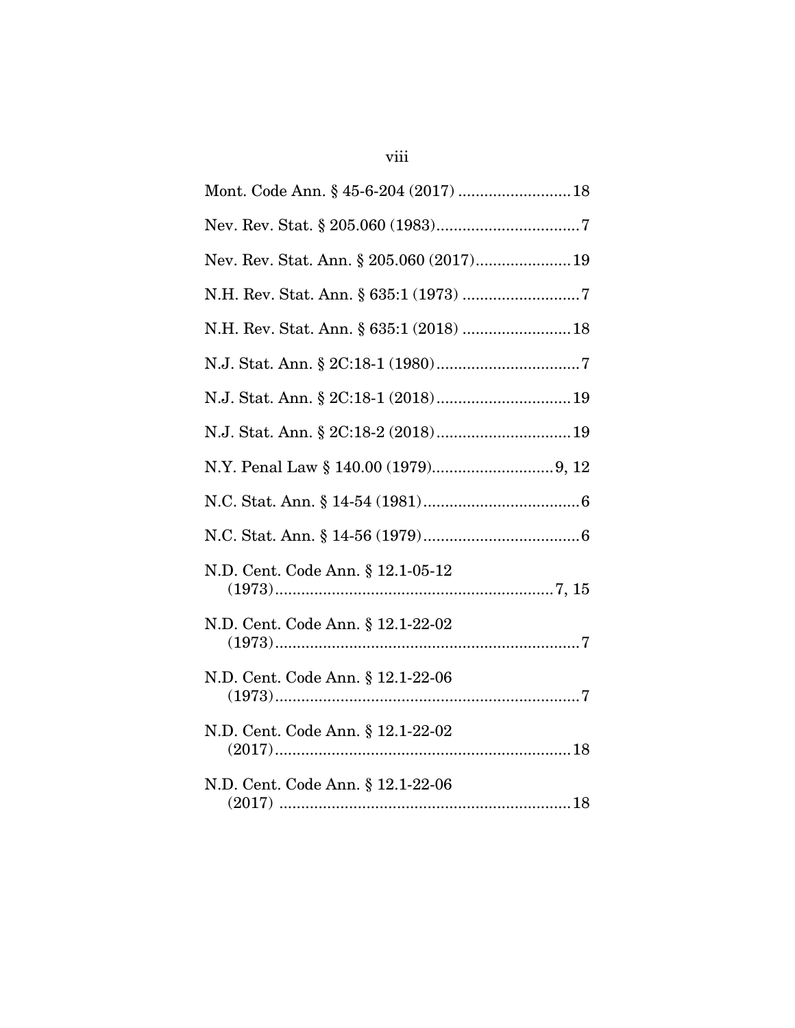| Mont. Code Ann. § 45-6-204 (2017)  18    |
|------------------------------------------|
|                                          |
| Nev. Rev. Stat. Ann. § 205.060 (2017) 19 |
|                                          |
|                                          |
|                                          |
|                                          |
|                                          |
|                                          |
|                                          |
|                                          |
| N.D. Cent. Code Ann. § 12.1-05-12        |
| N.D. Cent. Code Ann. § 12.1-22-02        |
| N.D. Cent. Code Ann. § 12.1-22-06        |
| N.D. Cent. Code Ann. § 12.1-22-02        |
| N.D. Cent. Code Ann. § 12.1-22-06        |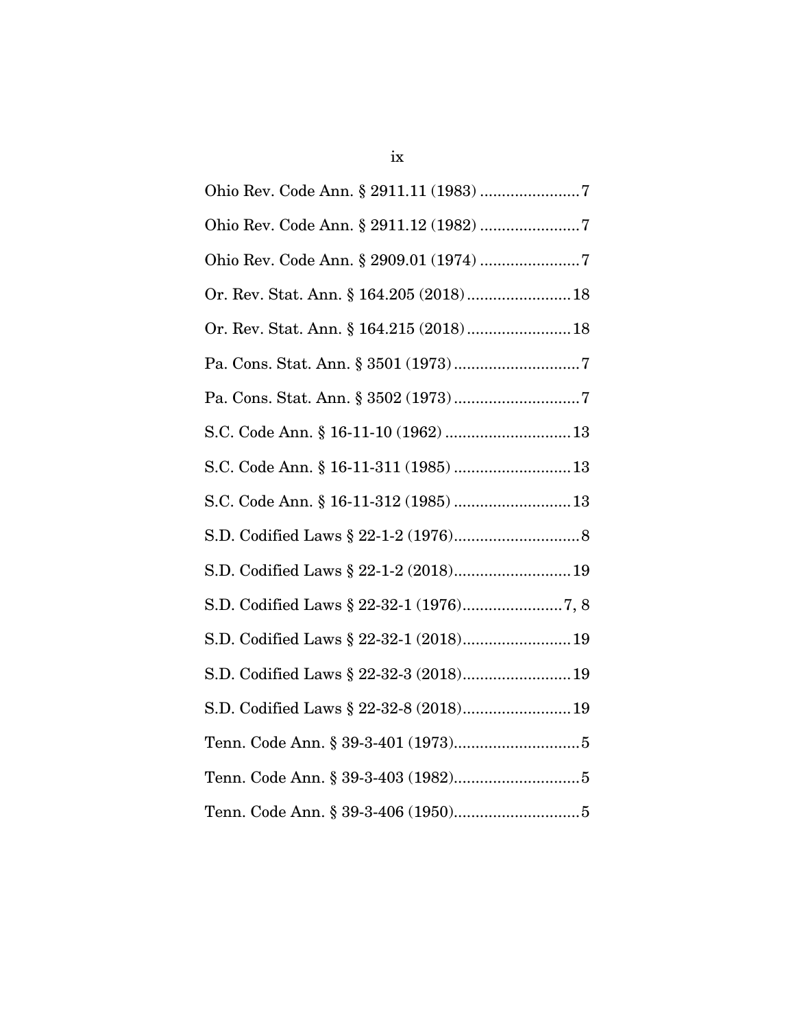| Ohio Rev. Code Ann. § 2911.11 (1983) 7  |
|-----------------------------------------|
| Ohio Rev. Code Ann. § 2911.12 (1982) 7  |
|                                         |
| Or. Rev. Stat. Ann. § 164.205 (2018) 18 |
| Or. Rev. Stat. Ann. § 164.215 (2018) 18 |
|                                         |
|                                         |
| S.C. Code Ann. § 16-11-10 (1962)  13    |
| S.C. Code Ann. § 16-11-311 (1985)  13   |
| S.C. Code Ann. § 16-11-312 (1985)  13   |
|                                         |
| S.D. Codified Laws § 22-1-2 (2018) 19   |
|                                         |
| S.D. Codified Laws § 22-32-1 (2018) 19  |
| S.D. Codified Laws § 22-32-3 (2018) 19  |
| S.D. Codified Laws § 22-32-8 (2018) 19  |
|                                         |
|                                         |
|                                         |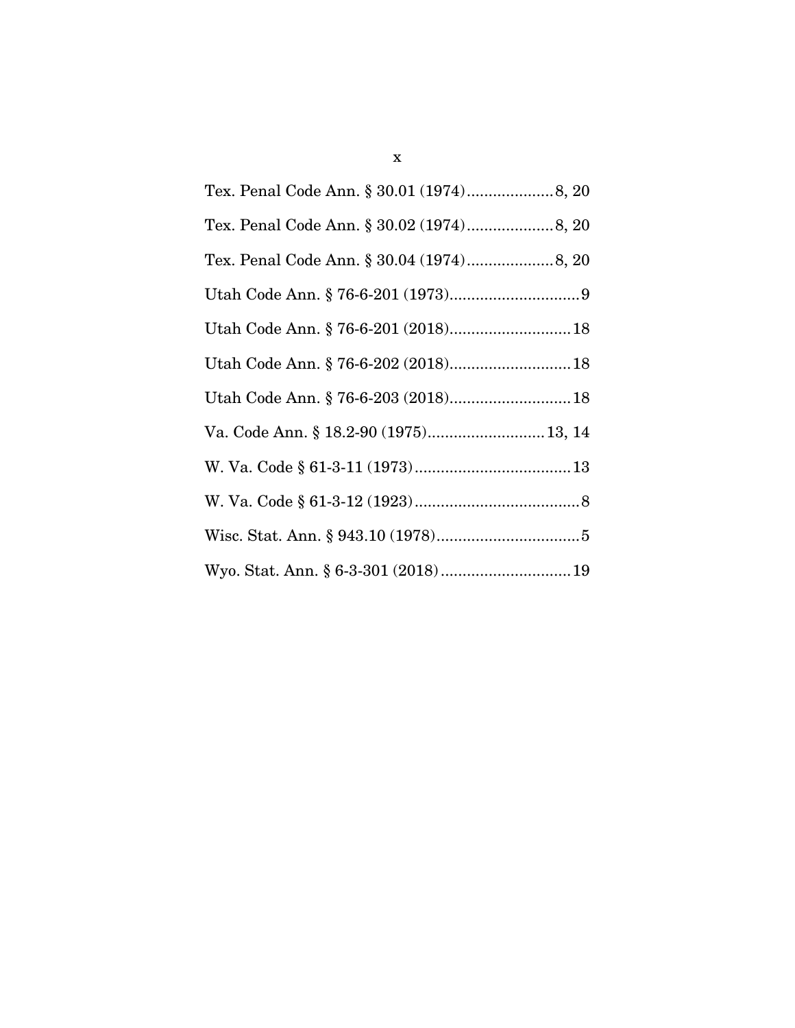| Tex. Penal Code Ann. § 30.01 (1974) 8, 20 |
|-------------------------------------------|
|                                           |
|                                           |
|                                           |
| Utah Code Ann. § 76-6-201 (2018) 18       |
|                                           |
| Utah Code Ann. § 76-6-203 (2018) 18       |
| Va. Code Ann. § 18.2-90 (1975) 13, 14     |
|                                           |
|                                           |
|                                           |
|                                           |
|                                           |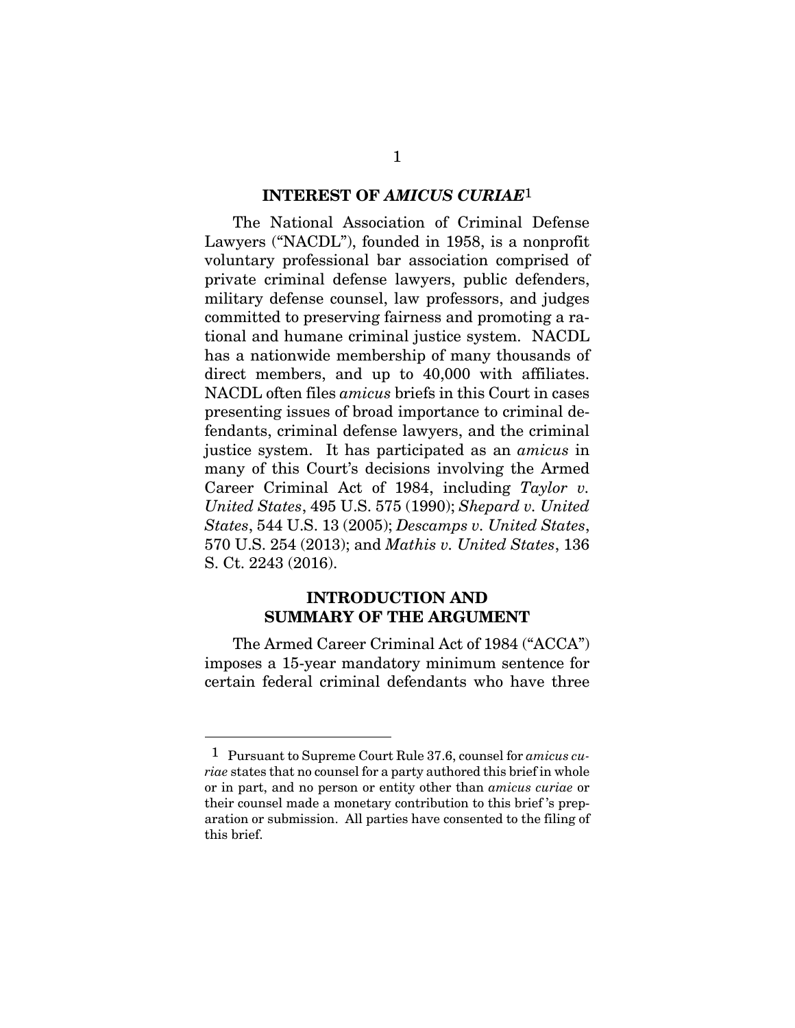#### **INTEREST OF** *AMICUS CURIAE*1

The National Association of Criminal Defense Lawyers ("NACDL"), founded in 1958, is a nonprofit voluntary professional bar association comprised of private criminal defense lawyers, public defenders, military defense counsel, law professors, and judges committed to preserving fairness and promoting a rational and humane criminal justice system. NACDL has a nationwide membership of many thousands of direct members, and up to 40,000 with affiliates. NACDL often files *amicus* briefs in this Court in cases presenting issues of broad importance to criminal defendants, criminal defense lawyers, and the criminal justice system. It has participated as an *amicus* in many of this Court's decisions involving the Armed Career Criminal Act of 1984, including *Taylor v. United States*, 495 U.S. 575 (1990); *Shepard v. United States*, 544 U.S. 13 (2005); *Descamps v. United States*, 570 U.S. 254 (2013); and *Mathis v. United States*, 136 S. Ct. 2243 (2016).

### **INTRODUCTION AND SUMMARY OF THE ARGUMENT**

The Armed Career Criminal Act of 1984 ("ACCA") imposes a 15-year mandatory minimum sentence for certain federal criminal defendants who have three

<sup>1</sup> Pursuant to Supreme Court Rule 37.6, counsel for *amicus curiae* states that no counsel for a party authored this brief in whole or in part, and no person or entity other than *amicus curiae* or their counsel made a monetary contribution to this brief 's preparation or submission. All parties have consented to the filing of this brief.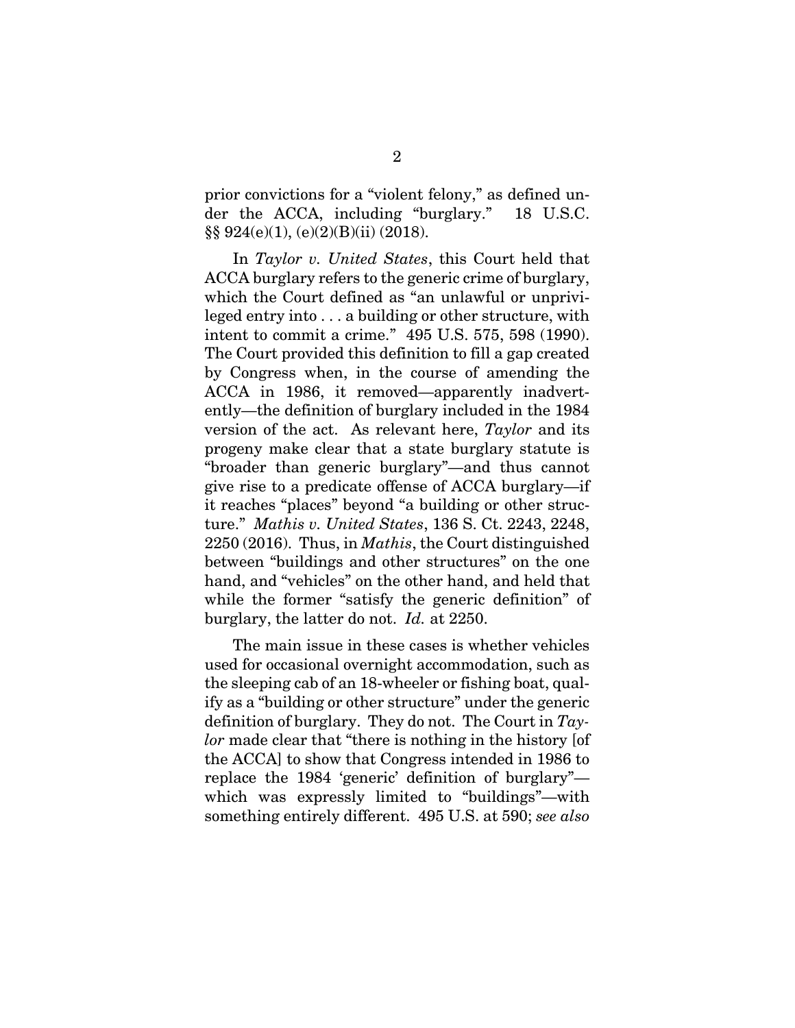prior convictions for a "violent felony," as defined under the ACCA, including "burglary." 18 U.S.C. §§ 924(e)(1), (e)(2)(B)(ii) (2018).

In *Taylor v. United States*, this Court held that ACCA burglary refers to the generic crime of burglary, which the Court defined as "an unlawful or unprivileged entry into . . . a building or other structure, with intent to commit a crime." 495 U.S. 575, 598 (1990). The Court provided this definition to fill a gap created by Congress when, in the course of amending the ACCA in 1986, it removed—apparently inadvertently—the definition of burglary included in the 1984 version of the act. As relevant here, *Taylor* and its progeny make clear that a state burglary statute is "broader than generic burglary"—and thus cannot give rise to a predicate offense of ACCA burglary—if it reaches "places" beyond "a building or other structure." *Mathis v. United States*, 136 S. Ct. 2243, 2248, 2250 (2016). Thus, in *Mathis*, the Court distinguished between "buildings and other structures" on the one hand, and "vehicles" on the other hand, and held that while the former "satisfy the generic definition" of burglary, the latter do not. *Id.* at 2250.

The main issue in these cases is whether vehicles used for occasional overnight accommodation, such as the sleeping cab of an 18-wheeler or fishing boat, qualify as a "building or other structure" under the generic definition of burglary. They do not. The Court in *Taylor* made clear that "there is nothing in the history [of the ACCA] to show that Congress intended in 1986 to replace the 1984 'generic' definition of burglary" which was expressly limited to "buildings"—with something entirely different. 495 U.S. at 590; *see also*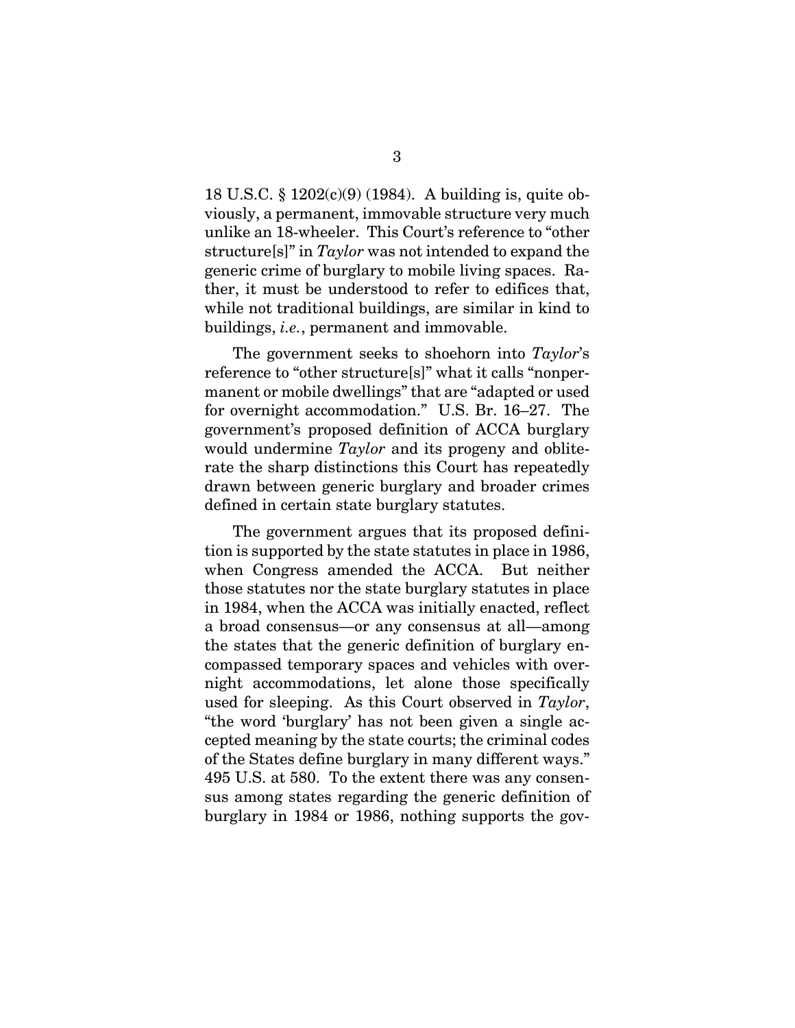18 U.S.C. § 1202(c)(9) (1984). A building is, quite obviously, a permanent, immovable structure very much unlike an 18-wheeler. This Court's reference to "other structure[s]" in *Taylor* was not intended to expand the generic crime of burglary to mobile living spaces. Rather, it must be understood to refer to edifices that, while not traditional buildings, are similar in kind to buildings, *i.e.*, permanent and immovable.

The government seeks to shoehorn into *Taylor*'s reference to "other structure[s]" what it calls "nonpermanent or mobile dwellings" that are "adapted or used for overnight accommodation." U.S. Br. 16–27. The government's proposed definition of ACCA burglary would undermine *Taylor* and its progeny and obliterate the sharp distinctions this Court has repeatedly drawn between generic burglary and broader crimes defined in certain state burglary statutes.

The government argues that its proposed definition is supported by the state statutes in place in 1986, when Congress amended the ACCA. But neither those statutes nor the state burglary statutes in place in 1984, when the ACCA was initially enacted, reflect a broad consensus—or any consensus at all—among the states that the generic definition of burglary encompassed temporary spaces and vehicles with overnight accommodations, let alone those specifically used for sleeping. As this Court observed in *Taylor*, "the word 'burglary' has not been given a single accepted meaning by the state courts; the criminal codes of the States define burglary in many different ways." 495 U.S. at 580. To the extent there was any consensus among states regarding the generic definition of burglary in 1984 or 1986, nothing supports the gov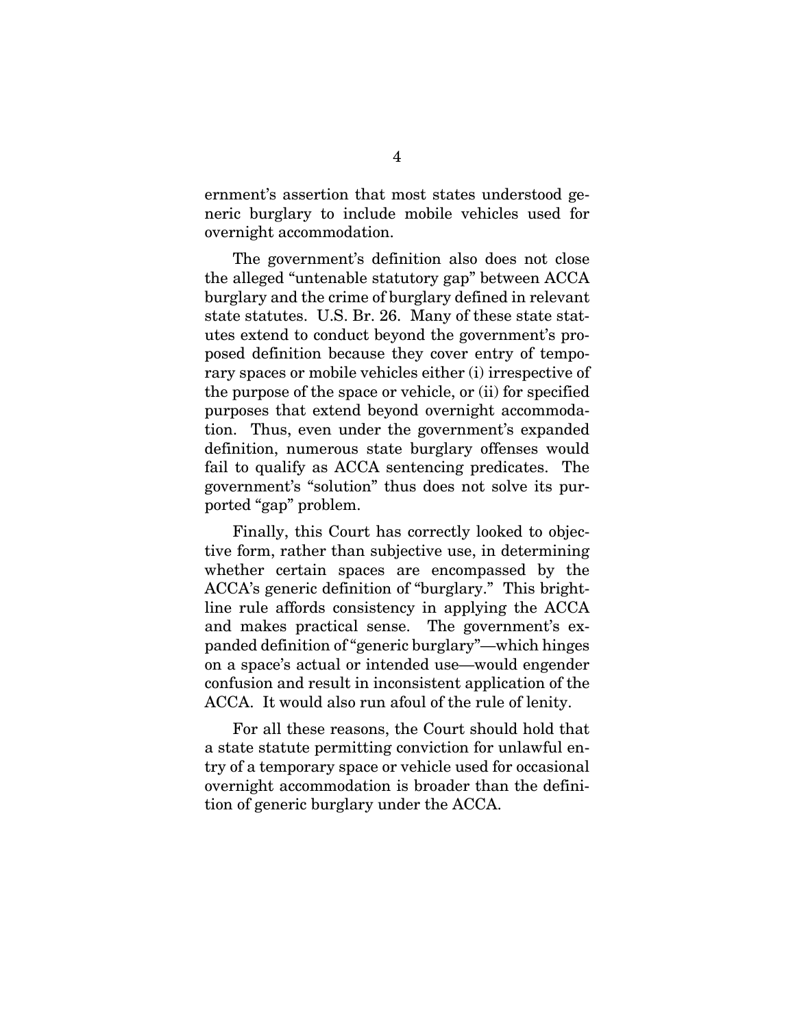ernment's assertion that most states understood generic burglary to include mobile vehicles used for overnight accommodation.

The government's definition also does not close the alleged "untenable statutory gap" between ACCA burglary and the crime of burglary defined in relevant state statutes. U.S. Br. 26. Many of these state statutes extend to conduct beyond the government's proposed definition because they cover entry of temporary spaces or mobile vehicles either (i) irrespective of the purpose of the space or vehicle, or (ii) for specified purposes that extend beyond overnight accommodation. Thus, even under the government's expanded definition, numerous state burglary offenses would fail to qualify as ACCA sentencing predicates. The government's "solution" thus does not solve its purported "gap" problem.

Finally, this Court has correctly looked to objective form, rather than subjective use, in determining whether certain spaces are encompassed by the ACCA's generic definition of "burglary." This brightline rule affords consistency in applying the ACCA and makes practical sense. The government's expanded definition of "generic burglary"—which hinges on a space's actual or intended use—would engender confusion and result in inconsistent application of the ACCA. It would also run afoul of the rule of lenity.

For all these reasons, the Court should hold that a state statute permitting conviction for unlawful entry of a temporary space or vehicle used for occasional overnight accommodation is broader than the definition of generic burglary under the ACCA.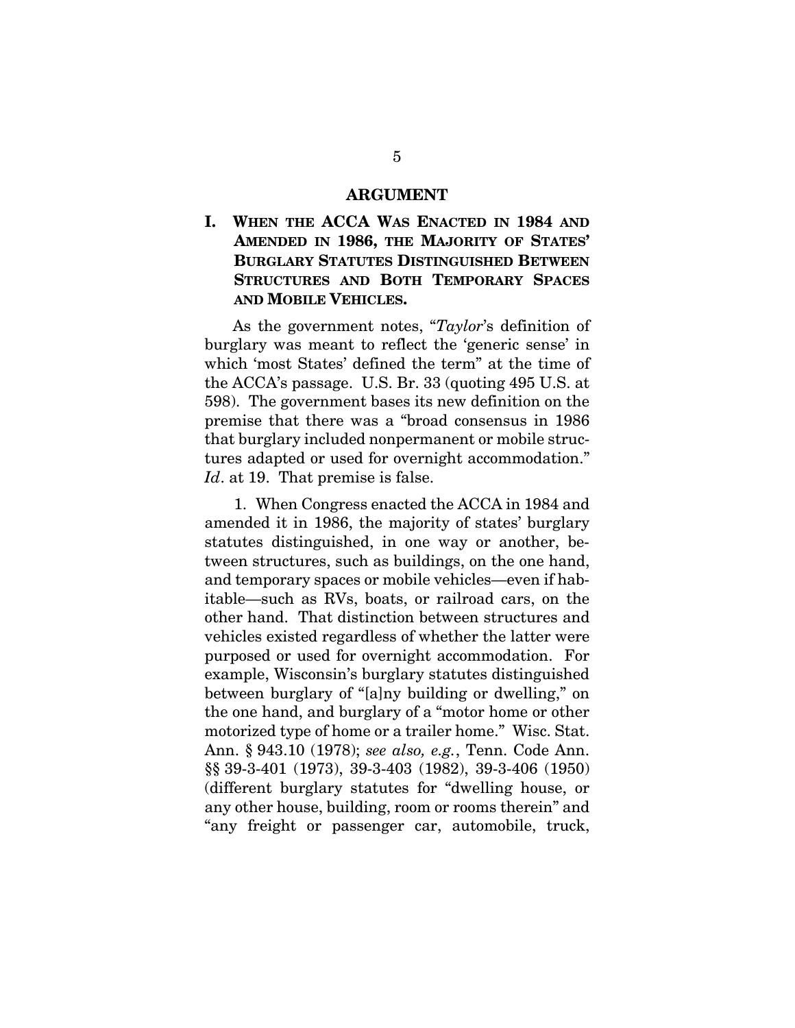#### **ARGUMENT**

### **I. WHEN THE ACCA WAS ENACTED IN 1984 AND AMENDED IN 1986, THE MAJORITY OF STATES' BURGLARY STATUTES DISTINGUISHED BETWEEN STRUCTURES AND BOTH TEMPORARY SPACES AND MOBILE VEHICLES.**

As the government notes, "*Taylor*'s definition of burglary was meant to reflect the 'generic sense' in which 'most States' defined the term" at the time of the ACCA's passage. U.S. Br. 33 (quoting 495 U.S. at 598). The government bases its new definition on the premise that there was a "broad consensus in 1986 that burglary included nonpermanent or mobile structures adapted or used for overnight accommodation." *Id*. at 19. That premise is false.

1. When Congress enacted the ACCA in 1984 and amended it in 1986, the majority of states' burglary statutes distinguished, in one way or another, between structures, such as buildings, on the one hand, and temporary spaces or mobile vehicles—even if habitable—such as RVs, boats, or railroad cars, on the other hand. That distinction between structures and vehicles existed regardless of whether the latter were purposed or used for overnight accommodation. For example, Wisconsin's burglary statutes distinguished between burglary of "[a]ny building or dwelling," on the one hand, and burglary of a "motor home or other motorized type of home or a trailer home." Wisc. Stat. Ann. § 943.10 (1978); *see also, e.g.*, Tenn. Code Ann. §§ 39-3-401 (1973), 39-3-403 (1982), 39-3-406 (1950) (different burglary statutes for "dwelling house, or any other house, building, room or rooms therein" and "any freight or passenger car, automobile, truck,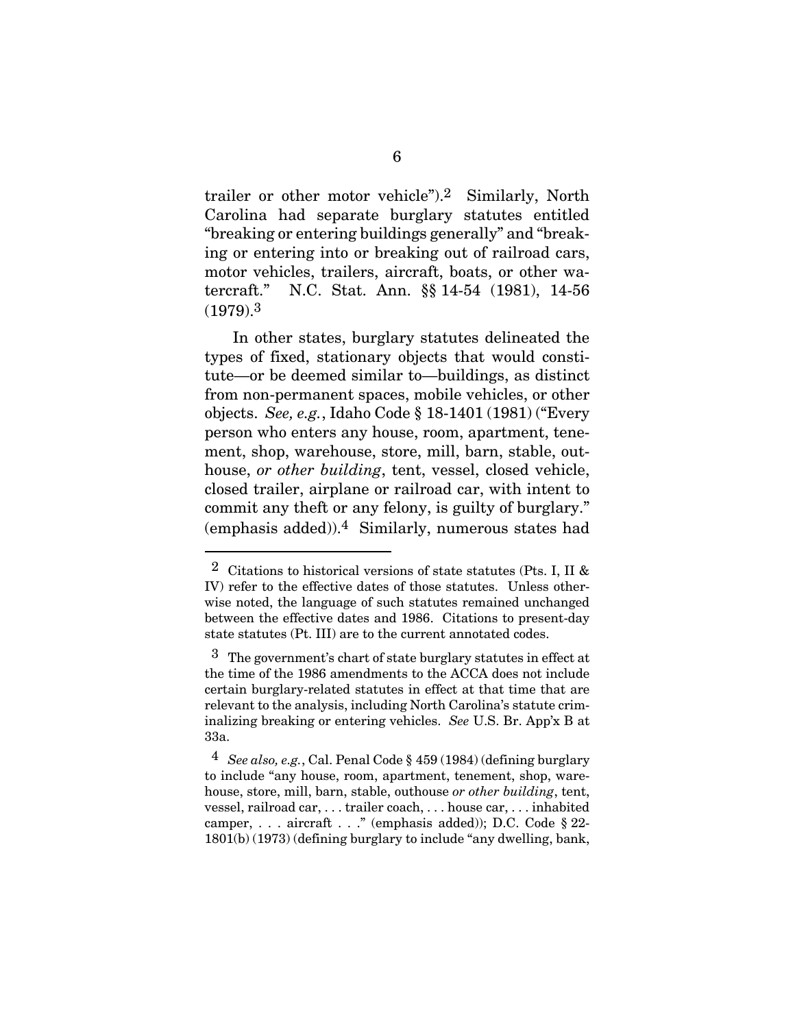trailer or other motor vehicle").2 Similarly, North Carolina had separate burglary statutes entitled "breaking or entering buildings generally" and "breaking or entering into or breaking out of railroad cars, motor vehicles, trailers, aircraft, boats, or other watercraft." N.C. Stat. Ann. §§ 14-54 (1981), 14-56 (1979).3

In other states, burglary statutes delineated the types of fixed, stationary objects that would constitute—or be deemed similar to—buildings, as distinct from non-permanent spaces, mobile vehicles, or other objects. *See, e.g.*, Idaho Code § 18-1401 (1981) ("Every person who enters any house, room, apartment, tenement, shop, warehouse, store, mill, barn, stable, outhouse, *or other building*, tent, vessel, closed vehicle, closed trailer, airplane or railroad car, with intent to commit any theft or any felony, is guilty of burglary." (emphasis added)).4 Similarly, numerous states had

 $2$  Citations to historical versions of state statutes (Pts. I, II & IV) refer to the effective dates of those statutes. Unless otherwise noted, the language of such statutes remained unchanged between the effective dates and 1986. Citations to present-day state statutes (Pt. III) are to the current annotated codes.

<sup>3</sup> The government's chart of state burglary statutes in effect at the time of the 1986 amendments to the ACCA does not include certain burglary-related statutes in effect at that time that are relevant to the analysis, including North Carolina's statute criminalizing breaking or entering vehicles. *See* U.S. Br. App'x B at 33a.

<sup>4</sup> *See also, e.g.*, Cal. Penal Code § 459 (1984) (defining burglary to include "any house, room, apartment, tenement, shop, warehouse, store, mill, barn, stable, outhouse *or other building*, tent, vessel, railroad car, . . . trailer coach, . . . house car, . . . inhabited camper, . . . aircraft . . ." (emphasis added)); D.C. Code § 22- 1801(b) (1973) (defining burglary to include "any dwelling, bank,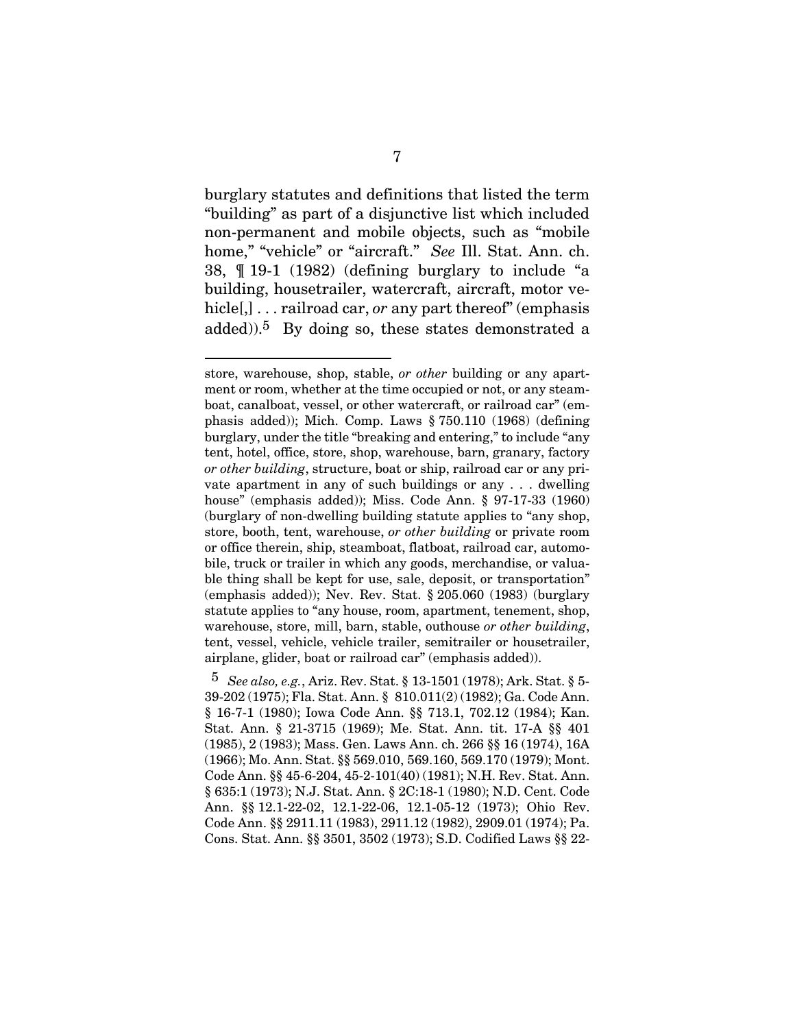burglary statutes and definitions that listed the term "building" as part of a disjunctive list which included non-permanent and mobile objects, such as "mobile home," "vehicle" or "aircraft." *See* Ill. Stat. Ann. ch. 38, ¶ 19-1 (1982) (defining burglary to include "a building, housetrailer, watercraft, aircraft, motor vehicle[,] . . . railroad car, *or* any part thereof" (emphasis added)).5 By doing so, these states demonstrated a

store, warehouse, shop, stable, *or other* building or any apartment or room, whether at the time occupied or not, or any steamboat, canalboat, vessel, or other watercraft, or railroad car" (emphasis added)); Mich. Comp. Laws § 750.110 (1968) (defining burglary, under the title "breaking and entering," to include "any tent, hotel, office, store, shop, warehouse, barn, granary, factory *or other building*, structure, boat or ship, railroad car or any private apartment in any of such buildings or any . . . dwelling house" (emphasis added)); Miss. Code Ann. § 97-17-33 (1960) (burglary of non-dwelling building statute applies to "any shop, store, booth, tent, warehouse, *or other building* or private room or office therein, ship, steamboat, flatboat, railroad car, automobile, truck or trailer in which any goods, merchandise, or valuable thing shall be kept for use, sale, deposit, or transportation" (emphasis added)); Nev. Rev. Stat. § 205.060 (1983) (burglary statute applies to "any house, room, apartment, tenement, shop, warehouse, store, mill, barn, stable, outhouse *or other building*, tent, vessel, vehicle, vehicle trailer, semitrailer or housetrailer, airplane, glider, boat or railroad car" (emphasis added)).

<sup>5</sup> *See also, e.g.*, Ariz. Rev. Stat. § 13-1501 (1978); Ark. Stat. § 5- 39-202 (1975); Fla. Stat. Ann. § 810.011(2) (1982); Ga. Code Ann. § 16-7-1 (1980); Iowa Code Ann. §§ 713.1, 702.12 (1984); Kan. Stat. Ann. § 21-3715 (1969); Me. Stat. Ann. tit. 17-A §§ 401 (1985), 2 (1983); Mass. Gen. Laws Ann. ch. 266 §§ 16 (1974), 16A (1966); Mo. Ann. Stat. §§ 569.010, 569.160, 569.170 (1979); Mont. Code Ann. §§ 45-6-204, 45-2-101(40) (1981); N.H. Rev. Stat. Ann. § 635:1 (1973); N.J. Stat. Ann. § 2C:18-1 (1980); N.D. Cent. Code Ann. §§ 12.1-22-02, 12.1-22-06, 12.1-05-12 (1973); Ohio Rev. Code Ann. §§ 2911.11 (1983), 2911.12 (1982), 2909.01 (1974); Pa. Cons. Stat. Ann. §§ 3501, 3502 (1973); S.D. Codified Laws §§ 22-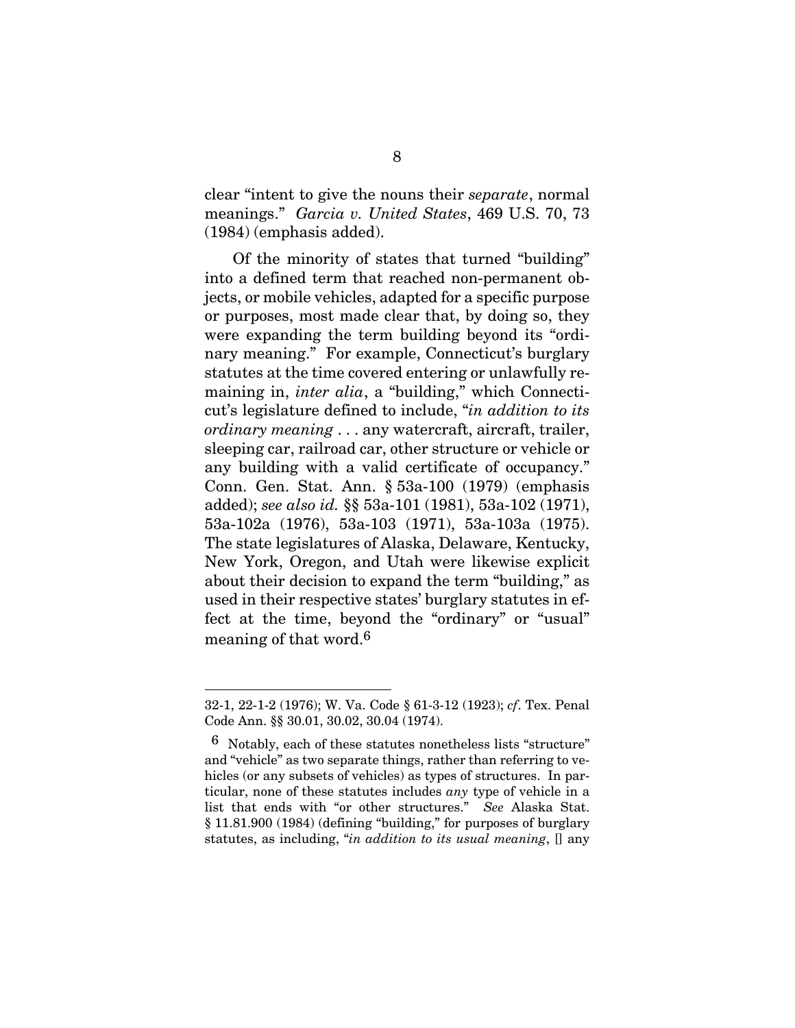clear "intent to give the nouns their *separate*, normal meanings." *Garcia v. United States*, 469 U.S. 70, 73 (1984) (emphasis added).

Of the minority of states that turned "building" into a defined term that reached non-permanent objects, or mobile vehicles, adapted for a specific purpose or purposes, most made clear that, by doing so, they were expanding the term building beyond its "ordinary meaning." For example, Connecticut's burglary statutes at the time covered entering or unlawfully remaining in, *inter alia*, a "building," which Connecticut's legislature defined to include, "*in addition to its ordinary meaning* . . . any watercraft, aircraft, trailer, sleeping car, railroad car, other structure or vehicle or any building with a valid certificate of occupancy." Conn. Gen. Stat. Ann. § 53a-100 (1979) (emphasis added); *see also id.* §§ 53a-101 (1981), 53a-102 (1971), 53a-102a (1976), 53a-103 (1971), 53a-103a (1975). The state legislatures of Alaska, Delaware, Kentucky, New York, Oregon, and Utah were likewise explicit about their decision to expand the term "building," as used in their respective states' burglary statutes in effect at the time, beyond the "ordinary" or "usual" meaning of that word.6

l

<sup>32-1, 22-1-2 (1976);</sup> W. Va. Code § 61-3-12 (1923); *cf*. Tex. Penal Code Ann. §§ 30.01, 30.02, 30.04 (1974).

<sup>6</sup> Notably, each of these statutes nonetheless lists "structure" and "vehicle" as two separate things, rather than referring to vehicles (or any subsets of vehicles) as types of structures. In particular, none of these statutes includes *any* type of vehicle in a list that ends with "or other structures." *See* Alaska Stat. § 11.81.900 (1984) (defining "building," for purposes of burglary statutes, as including, "*in addition to its usual meaning*, [] any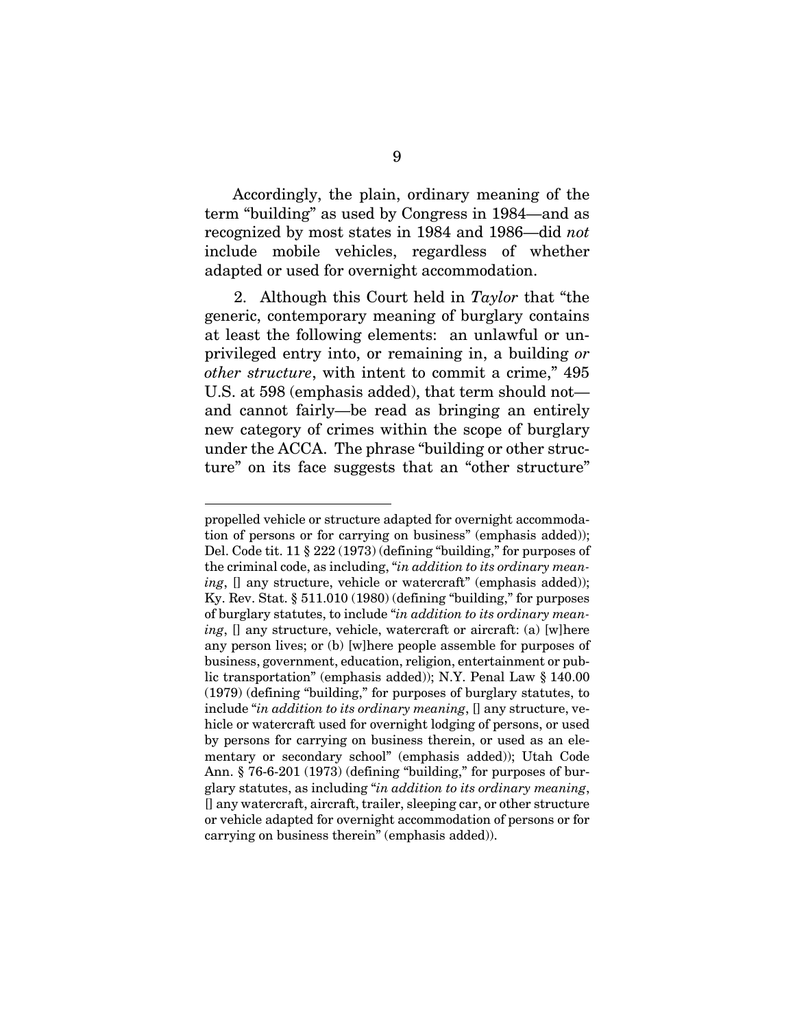Accordingly, the plain, ordinary meaning of the term "building" as used by Congress in 1984—and as recognized by most states in 1984 and 1986—did *not* include mobile vehicles, regardless of whether adapted or used for overnight accommodation.

2. Although this Court held in *Taylor* that "the generic, contemporary meaning of burglary contains at least the following elements: an unlawful or unprivileged entry into, or remaining in, a building *or other structure*, with intent to commit a crime," 495 U.S. at 598 (emphasis added), that term should not and cannot fairly—be read as bringing an entirely new category of crimes within the scope of burglary under the ACCA. The phrase "building or other structure" on its face suggests that an "other structure"

propelled vehicle or structure adapted for overnight accommodation of persons or for carrying on business" (emphasis added)); Del. Code tit. 11 § 222 (1973) (defining "building," for purposes of the criminal code, as including, "*in addition to its ordinary meaning*, [] any structure, vehicle or watercraft" (emphasis added)); Ky. Rev. Stat. § 511.010 (1980) (defining "building," for purposes of burglary statutes, to include "*in addition to its ordinary meaning*, [] any structure, vehicle, watercraft or aircraft: (a) [w]here any person lives; or (b) [w]here people assemble for purposes of business, government, education, religion, entertainment or public transportation" (emphasis added)); N.Y. Penal Law § 140.00 (1979) (defining "building," for purposes of burglary statutes, to include "*in addition to its ordinary meaning*, [] any structure, vehicle or watercraft used for overnight lodging of persons, or used by persons for carrying on business therein, or used as an elementary or secondary school" (emphasis added)); Utah Code Ann. § 76-6-201 (1973) (defining "building," for purposes of burglary statutes, as including "*in addition to its ordinary meaning*, [] any watercraft, aircraft, trailer, sleeping car, or other structure or vehicle adapted for overnight accommodation of persons or for carrying on business therein" (emphasis added)).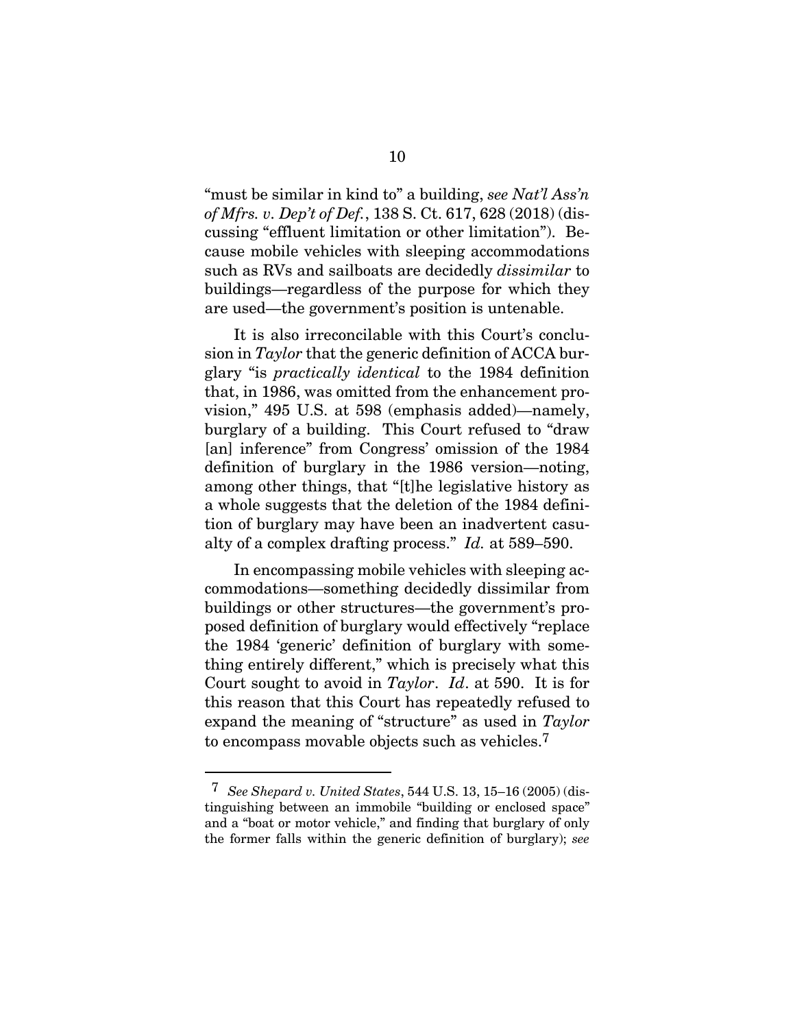"must be similar in kind to" a building, *see Nat'l Ass'n of Mfrs. v. Dep't of Def.*, 138 S. Ct. 617, 628 (2018) (discussing "effluent limitation or other limitation"). Because mobile vehicles with sleeping accommodations such as RVs and sailboats are decidedly *dissimilar* to buildings—regardless of the purpose for which they are used—the government's position is untenable.

It is also irreconcilable with this Court's conclusion in *Taylor* that the generic definition of ACCA burglary "is *practically identical* to the 1984 definition that, in 1986, was omitted from the enhancement provision," 495 U.S. at 598 (emphasis added)—namely, burglary of a building. This Court refused to "draw [an] inference" from Congress' omission of the 1984 definition of burglary in the 1986 version—noting, among other things, that "[t]he legislative history as a whole suggests that the deletion of the 1984 definition of burglary may have been an inadvertent casualty of a complex drafting process." *Id.* at 589–590.

In encompassing mobile vehicles with sleeping accommodations—something decidedly dissimilar from buildings or other structures—the government's proposed definition of burglary would effectively "replace the 1984 'generic' definition of burglary with something entirely different," which is precisely what this Court sought to avoid in *Taylor*. *Id*. at 590. It is for this reason that this Court has repeatedly refused to expand the meaning of "structure" as used in *Taylor* to encompass movable objects such as vehicles.7

l

<sup>7</sup> *See Shepard v. United States*, 544 U.S. 13, 15–16 (2005) (distinguishing between an immobile "building or enclosed space" and a "boat or motor vehicle," and finding that burglary of only the former falls within the generic definition of burglary); *see*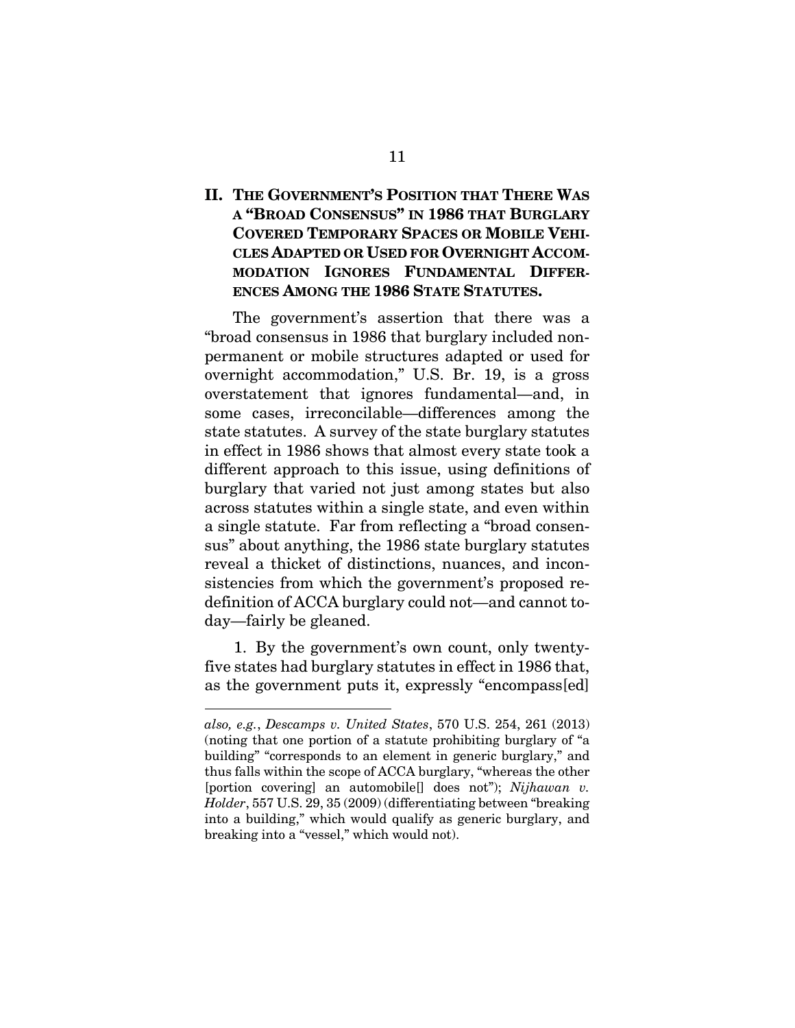## **II. THE GOVERNMENT'S POSITION THAT THERE WAS A "BROAD CONSENSUS" IN 1986 THAT BURGLARY COVERED TEMPORARY SPACES OR MOBILE VEHI-CLES ADAPTED OR USED FOR OVERNIGHT ACCOM-MODATION IGNORES FUNDAMENTAL DIFFER-ENCES AMONG THE 1986 STATE STATUTES.**

The government's assertion that there was a "broad consensus in 1986 that burglary included nonpermanent or mobile structures adapted or used for overnight accommodation," U.S. Br. 19, is a gross overstatement that ignores fundamental—and, in some cases, irreconcilable—differences among the state statutes. A survey of the state burglary statutes in effect in 1986 shows that almost every state took a different approach to this issue, using definitions of burglary that varied not just among states but also across statutes within a single state, and even within a single statute. Far from reflecting a "broad consensus" about anything, the 1986 state burglary statutes reveal a thicket of distinctions, nuances, and inconsistencies from which the government's proposed redefinition of ACCA burglary could not—and cannot today—fairly be gleaned.

1. By the government's own count, only twentyfive states had burglary statutes in effect in 1986 that, as the government puts it, expressly "encompass[ed]

*also, e.g.*, *Descamps v. United States*, 570 U.S. 254, 261 (2013) (noting that one portion of a statute prohibiting burglary of "a building" "corresponds to an element in generic burglary," and thus falls within the scope of ACCA burglary, "whereas the other [portion covering] an automobile[] does not"); *Nijhawan v. Holder*, 557 U.S. 29, 35 (2009) (differentiating between "breaking into a building," which would qualify as generic burglary, and breaking into a "vessel," which would not).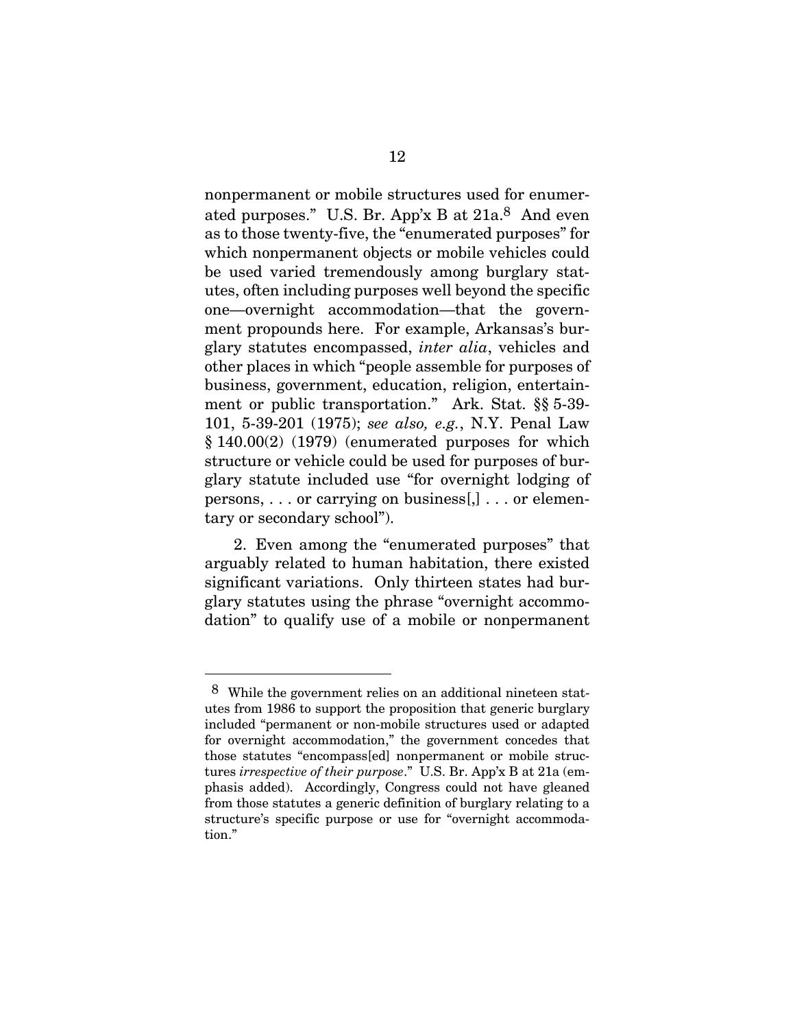nonpermanent or mobile structures used for enumerated purposes." U.S. Br. App'x B at 21a.8 And even as to those twenty-five, the "enumerated purposes" for which nonpermanent objects or mobile vehicles could be used varied tremendously among burglary statutes, often including purposes well beyond the specific one—overnight accommodation—that the government propounds here. For example, Arkansas's burglary statutes encompassed, *inter alia*, vehicles and other places in which "people assemble for purposes of business, government, education, religion, entertainment or public transportation." Ark. Stat. §§ 5-39- 101, 5-39-201 (1975); *see also, e.g.*, N.Y. Penal Law § 140.00(2) (1979) (enumerated purposes for which structure or vehicle could be used for purposes of burglary statute included use "for overnight lodging of persons, . . . or carrying on business[,] . . . or elementary or secondary school").

2. Even among the "enumerated purposes" that arguably related to human habitation, there existed significant variations. Only thirteen states had burglary statutes using the phrase "overnight accommodation" to qualify use of a mobile or nonpermanent

<sup>8</sup> While the government relies on an additional nineteen statutes from 1986 to support the proposition that generic burglary included "permanent or non-mobile structures used or adapted for overnight accommodation," the government concedes that those statutes "encompass[ed] nonpermanent or mobile structures *irrespective of their purpose*." U.S. Br. App'x B at 21a (emphasis added). Accordingly, Congress could not have gleaned from those statutes a generic definition of burglary relating to a structure's specific purpose or use for "overnight accommodation."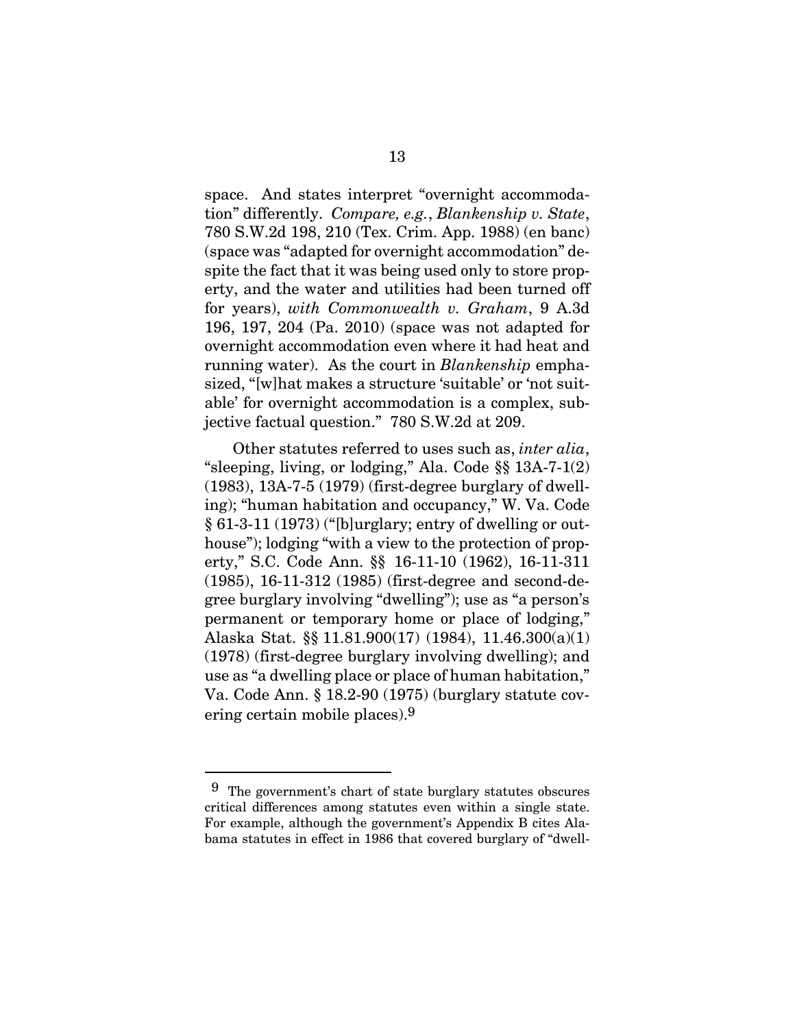space. And states interpret "overnight accommodation" differently. *Compare, e.g.*, *Blankenship v. State*, 780 S.W.2d 198, 210 (Tex. Crim. App. 1988) (en banc) (space was "adapted for overnight accommodation" despite the fact that it was being used only to store property, and the water and utilities had been turned off for years), *with Commonwealth v. Graham*, 9 A.3d 196, 197, 204 (Pa. 2010) (space was not adapted for overnight accommodation even where it had heat and running water). As the court in *Blankenship* emphasized, "[w]hat makes a structure 'suitable' or 'not suitable' for overnight accommodation is a complex, subjective factual question." 780 S.W.2d at 209.

Other statutes referred to uses such as, *inter alia*, "sleeping, living, or lodging," Ala. Code §§ 13A-7-1(2) (1983), 13A-7-5 (1979) (first-degree burglary of dwelling); "human habitation and occupancy," W. Va. Code  $§ 61-3-11(1973)$  ("[b]urglary; entry of dwelling or outhouse"); lodging "with a view to the protection of property," S.C. Code Ann. §§ 16-11-10 (1962), 16-11-311 (1985), 16-11-312 (1985) (first-degree and second-degree burglary involving "dwelling"); use as "a person's permanent or temporary home or place of lodging," Alaska Stat. §§ 11.81.900(17) (1984), 11.46.300(a)(1) (1978) (first-degree burglary involving dwelling); and use as "a dwelling place or place of human habitation," Va. Code Ann. § 18.2-90 (1975) (burglary statute covering certain mobile places).9

l

<sup>9</sup> The government's chart of state burglary statutes obscures critical differences among statutes even within a single state. For example, although the government's Appendix B cites Alabama statutes in effect in 1986 that covered burglary of "dwell-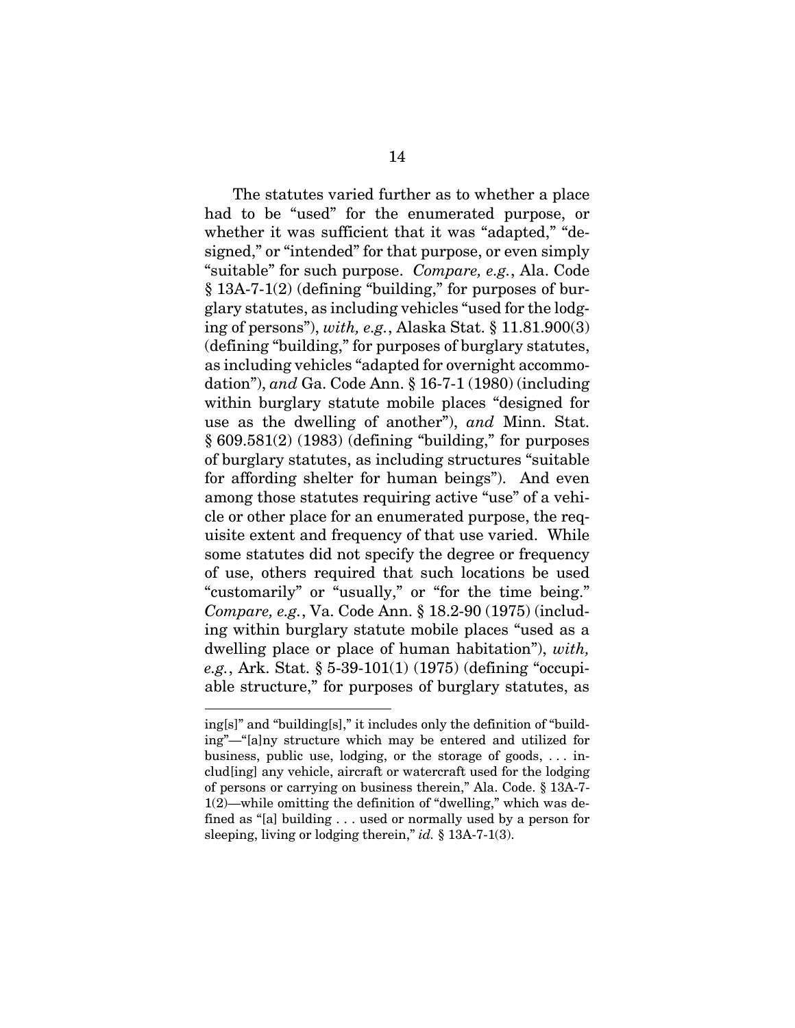The statutes varied further as to whether a place had to be "used" for the enumerated purpose, or whether it was sufficient that it was "adapted," "designed," or "intended" for that purpose, or even simply "suitable" for such purpose. *Compare, e.g.*, Ala. Code § 13A-7-1(2) (defining "building," for purposes of burglary statutes, as including vehicles "used for the lodging of persons"), *with, e.g.*, Alaska Stat. § 11.81.900(3) (defining "building," for purposes of burglary statutes, as including vehicles "adapted for overnight accommodation"), *and* Ga. Code Ann. § 16-7-1 (1980) (including within burglary statute mobile places "designed for use as the dwelling of another"), *and* Minn. Stat. § 609.581(2) (1983) (defining "building," for purposes of burglary statutes, as including structures "suitable for affording shelter for human beings"). And even among those statutes requiring active "use" of a vehicle or other place for an enumerated purpose, the requisite extent and frequency of that use varied. While some statutes did not specify the degree or frequency of use, others required that such locations be used "customarily" or "usually," or "for the time being." *Compare, e.g.*, Va. Code Ann. § 18.2-90 (1975) (including within burglary statute mobile places "used as a dwelling place or place of human habitation"), *with, e.g.*, Ark. Stat. § 5-39-101(1) (1975) (defining "occupiable structure," for purposes of burglary statutes, as

ing[s]" and "building[s]," it includes only the definition of "building"—"[a]ny structure which may be entered and utilized for business, public use, lodging, or the storage of goods,  $\dots$  includ[ing] any vehicle, aircraft or watercraft used for the lodging of persons or carrying on business therein," Ala. Code. § 13A-7- 1(2)—while omitting the definition of "dwelling," which was defined as "[a] building . . . used or normally used by a person for sleeping, living or lodging therein," *id.* § 13A-7-1(3).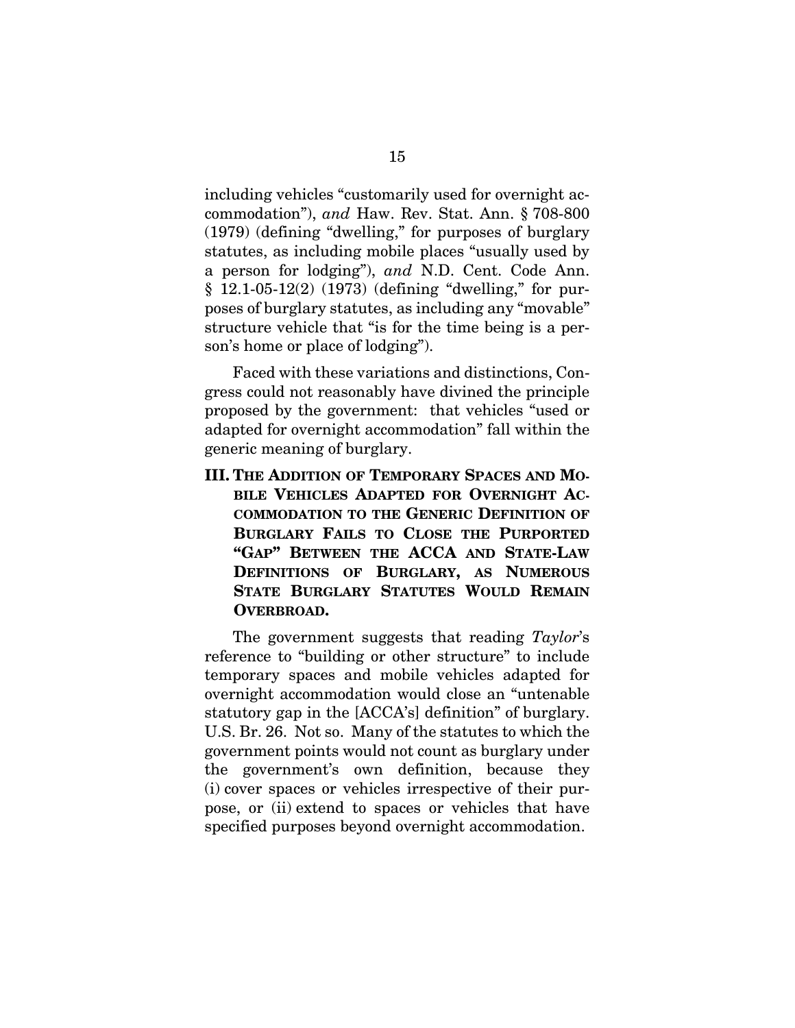including vehicles "customarily used for overnight accommodation"), *and* Haw. Rev. Stat. Ann. § 708-800 (1979) (defining "dwelling," for purposes of burglary statutes, as including mobile places "usually used by a person for lodging"), *and* N.D. Cent. Code Ann. § 12.1-05-12(2) (1973) (defining "dwelling," for purposes of burglary statutes, as including any "movable" structure vehicle that "is for the time being is a person's home or place of lodging").

Faced with these variations and distinctions, Congress could not reasonably have divined the principle proposed by the government: that vehicles "used or adapted for overnight accommodation" fall within the generic meaning of burglary.

**III. THE ADDITION OF TEMPORARY SPACES AND MO-BILE VEHICLES ADAPTED FOR OVERNIGHT AC-COMMODATION TO THE GENERIC DEFINITION OF BURGLARY FAILS TO CLOSE THE PURPORTED "GAP" BETWEEN THE ACCA AND STATE-LAW DEFINITIONS OF BURGLARY, AS NUMEROUS STATE BURGLARY STATUTES WOULD REMAIN OVERBROAD.** 

The government suggests that reading *Taylor*'s reference to "building or other structure" to include temporary spaces and mobile vehicles adapted for overnight accommodation would close an "untenable statutory gap in the [ACCA's] definition" of burglary. U.S. Br. 26. Not so. Many of the statutes to which the government points would not count as burglary under the government's own definition, because they (i) cover spaces or vehicles irrespective of their purpose, or (ii) extend to spaces or vehicles that have specified purposes beyond overnight accommodation.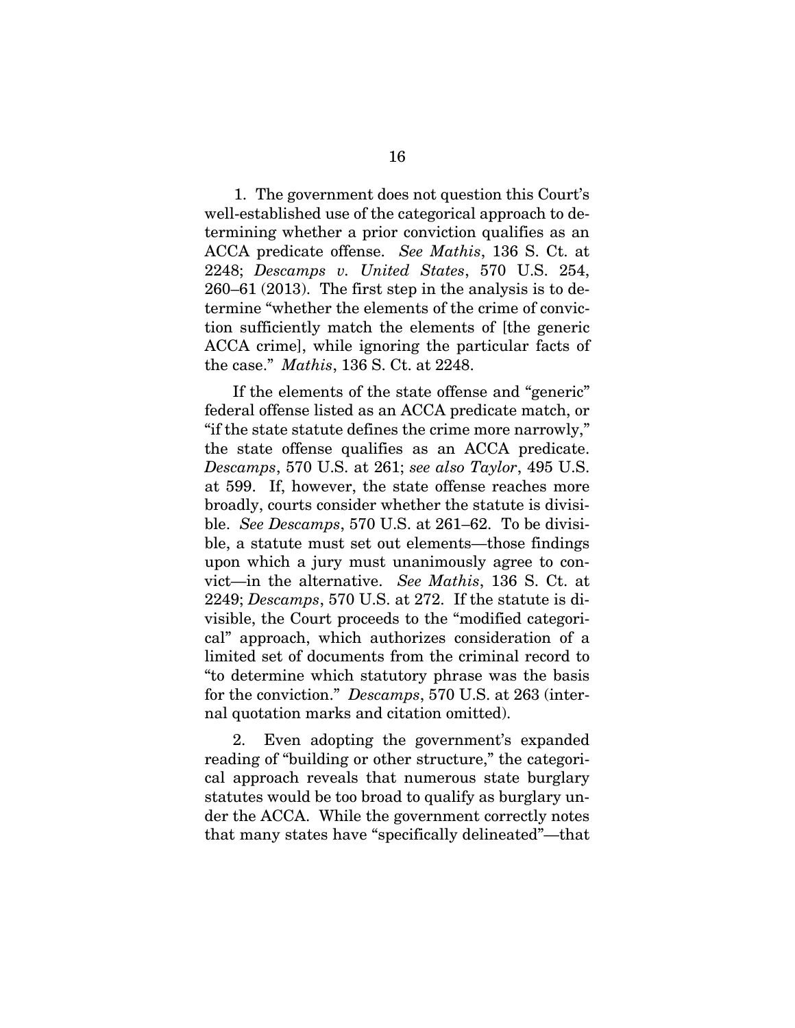1. The government does not question this Court's well-established use of the categorical approach to determining whether a prior conviction qualifies as an ACCA predicate offense. *See Mathis*, 136 S. Ct. at 2248; *Descamps v. United States*, 570 U.S. 254, 260–61 (2013). The first step in the analysis is to determine "whether the elements of the crime of conviction sufficiently match the elements of [the generic ACCA crime], while ignoring the particular facts of the case." *Mathis*, 136 S. Ct. at 2248.

If the elements of the state offense and "generic" federal offense listed as an ACCA predicate match, or "if the state statute defines the crime more narrowly," the state offense qualifies as an ACCA predicate. *Descamps*, 570 U.S. at 261; *see also Taylor*, 495 U.S. at 599. If, however, the state offense reaches more broadly, courts consider whether the statute is divisible. *See Descamps*, 570 U.S. at 261–62. To be divisible, a statute must set out elements—those findings upon which a jury must unanimously agree to convict—in the alternative. *See Mathis*, 136 S. Ct. at 2249; *Descamps*, 570 U.S. at 272. If the statute is divisible, the Court proceeds to the "modified categorical" approach, which authorizes consideration of a limited set of documents from the criminal record to "to determine which statutory phrase was the basis for the conviction." *Descamps*, 570 U.S. at 263 (internal quotation marks and citation omitted).

2. Even adopting the government's expanded reading of "building or other structure," the categorical approach reveals that numerous state burglary statutes would be too broad to qualify as burglary under the ACCA. While the government correctly notes that many states have "specifically delineated"—that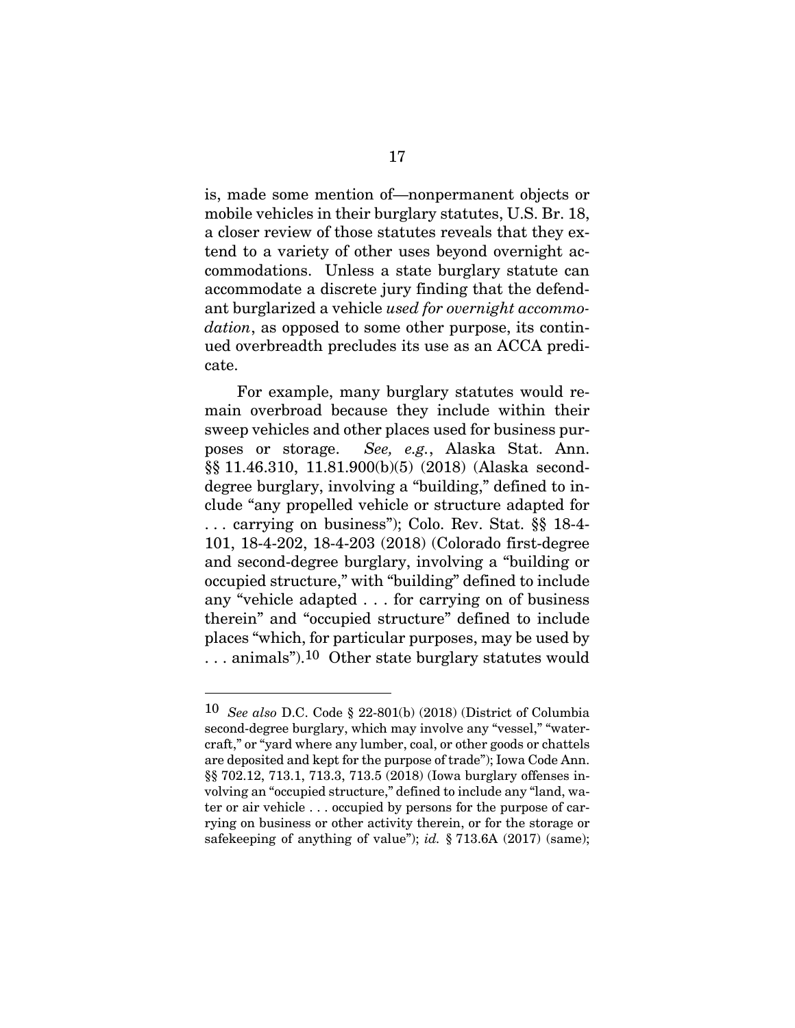is, made some mention of—nonpermanent objects or mobile vehicles in their burglary statutes, U.S. Br. 18, a closer review of those statutes reveals that they extend to a variety of other uses beyond overnight accommodations. Unless a state burglary statute can accommodate a discrete jury finding that the defendant burglarized a vehicle *used for overnight accommodation*, as opposed to some other purpose, its continued overbreadth precludes its use as an ACCA predicate.

 For example, many burglary statutes would remain overbroad because they include within their sweep vehicles and other places used for business purposes or storage. *See, e.g.*, Alaska Stat. Ann. §§ 11.46.310, 11.81.900(b)(5) (2018) (Alaska seconddegree burglary, involving a "building," defined to include "any propelled vehicle or structure adapted for . . . carrying on business"); Colo. Rev. Stat. §§ 18-4- 101, 18-4-202, 18-4-203 (2018) (Colorado first-degree and second-degree burglary, involving a "building or occupied structure," with "building" defined to include any "vehicle adapted . . . for carrying on of business therein" and "occupied structure" defined to include places "which, for particular purposes, may be used by . . . animals").10 Other state burglary statutes would

l

<sup>10</sup> *See also* D.C. Code § 22-801(b) (2018) (District of Columbia second-degree burglary, which may involve any "vessel," "watercraft," or "yard where any lumber, coal, or other goods or chattels are deposited and kept for the purpose of trade"); Iowa Code Ann. §§ 702.12, 713.1, 713.3, 713.5 (2018) (Iowa burglary offenses involving an "occupied structure," defined to include any "land, water or air vehicle . . . occupied by persons for the purpose of carrying on business or other activity therein, or for the storage or safekeeping of anything of value"); *id.* § 713.6A (2017) (same);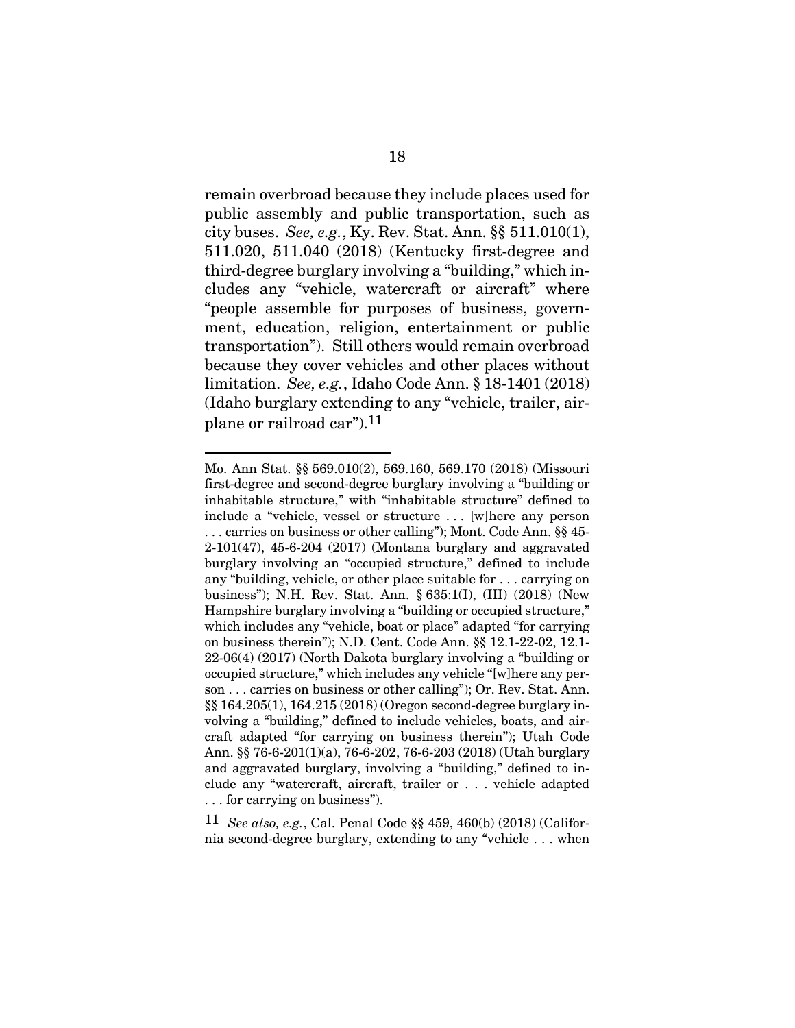remain overbroad because they include places used for public assembly and public transportation, such as city buses. *See, e.g.*, Ky. Rev. Stat. Ann. §§ 511.010(1), 511.020, 511.040 (2018) (Kentucky first-degree and third-degree burglary involving a "building," which includes any "vehicle, watercraft or aircraft" where "people assemble for purposes of business, government, education, religion, entertainment or public transportation"). Still others would remain overbroad because they cover vehicles and other places without limitation. *See, e.g.*, Idaho Code Ann. § 18-1401 (2018) (Idaho burglary extending to any "vehicle, trailer, airplane or railroad car").11

l

11 *See also, e.g.*, Cal. Penal Code §§ 459, 460(b) (2018) (California second-degree burglary, extending to any "vehicle . . . when

Mo. Ann Stat. §§ 569.010(2), 569.160, 569.170 (2018) (Missouri first-degree and second-degree burglary involving a "building or inhabitable structure," with "inhabitable structure" defined to include a "vehicle, vessel or structure . . . [w]here any person . . . carries on business or other calling"); Mont. Code Ann. §§ 45- 2-101(47), 45-6-204 (2017) (Montana burglary and aggravated burglary involving an "occupied structure," defined to include any "building, vehicle, or other place suitable for . . . carrying on business"); N.H. Rev. Stat. Ann. § 635:1(I), (III) (2018) (New Hampshire burglary involving a "building or occupied structure," which includes any "vehicle, boat or place" adapted "for carrying on business therein"); N.D. Cent. Code Ann. §§ 12.1-22-02, 12.1- 22-06(4) (2017) (North Dakota burglary involving a "building or occupied structure," which includes any vehicle "[w]here any person . . . carries on business or other calling"); Or. Rev. Stat. Ann. §§ 164.205(1), 164.215 (2018) (Oregon second-degree burglary involving a "building," defined to include vehicles, boats, and aircraft adapted "for carrying on business therein"); Utah Code Ann. §§ 76-6-201(1)(a), 76-6-202, 76-6-203 (2018) (Utah burglary and aggravated burglary, involving a "building," defined to include any "watercraft, aircraft, trailer or . . . vehicle adapted . . . for carrying on business").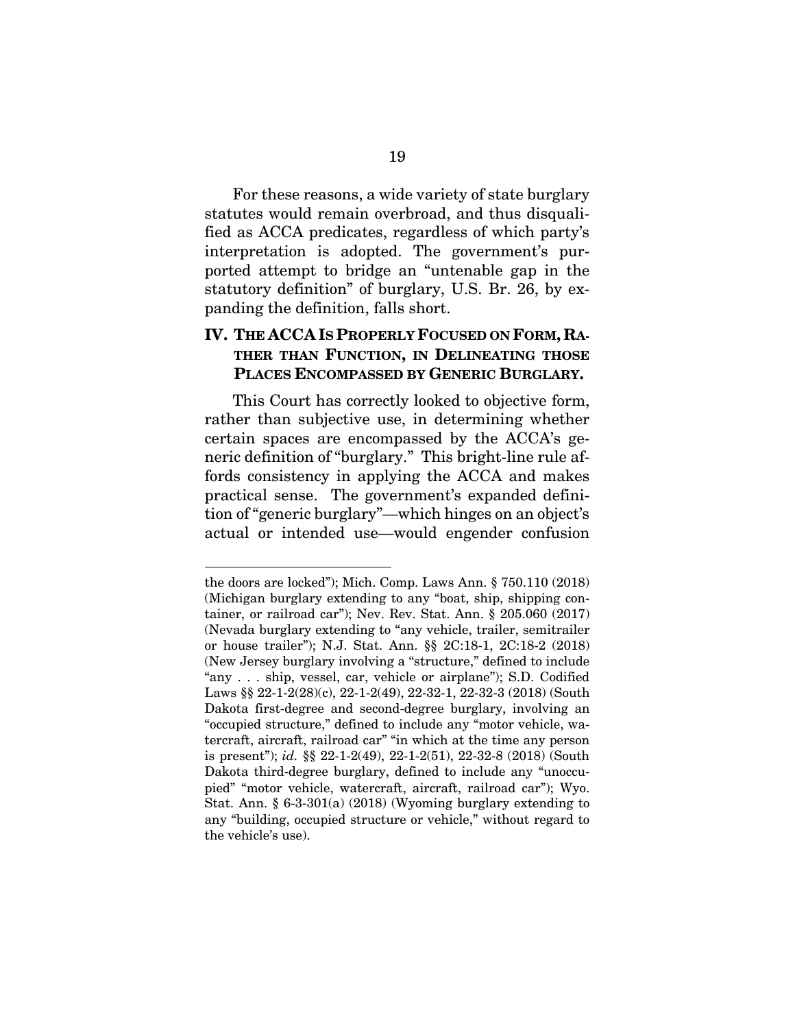For these reasons, a wide variety of state burglary statutes would remain overbroad, and thus disqualified as ACCA predicates, regardless of which party's interpretation is adopted. The government's purported attempt to bridge an "untenable gap in the statutory definition" of burglary, U.S. Br. 26, by expanding the definition, falls short.

### **IV. THE ACCA IS PROPERLY FOCUSED ON FORM, RA-THER THAN FUNCTION, IN DELINEATING THOSE PLACES ENCOMPASSED BY GENERIC BURGLARY.**

This Court has correctly looked to objective form, rather than subjective use, in determining whether certain spaces are encompassed by the ACCA's generic definition of "burglary." This bright-line rule affords consistency in applying the ACCA and makes practical sense. The government's expanded definition of "generic burglary"—which hinges on an object's actual or intended use—would engender confusion

the doors are locked"); Mich. Comp. Laws Ann. § 750.110 (2018) (Michigan burglary extending to any "boat, ship, shipping container, or railroad car"); Nev. Rev. Stat. Ann. § 205.060 (2017) (Nevada burglary extending to "any vehicle, trailer, semitrailer or house trailer"); N.J. Stat. Ann. §§ 2C:18-1, 2C:18-2 (2018) (New Jersey burglary involving a "structure," defined to include "any . . . ship, vessel, car, vehicle or airplane"); S.D. Codified Laws §§ 22-1-2(28)(c), 22-1-2(49), 22-32-1, 22-32-3 (2018) (South Dakota first-degree and second-degree burglary, involving an "occupied structure," defined to include any "motor vehicle, watercraft, aircraft, railroad car" "in which at the time any person is present"); *id.* §§ 22-1-2(49), 22-1-2(51), 22-32-8 (2018) (South Dakota third-degree burglary, defined to include any "unoccupied" "motor vehicle, watercraft, aircraft, railroad car"); Wyo. Stat. Ann. § 6-3-301(a) (2018) (Wyoming burglary extending to any "building, occupied structure or vehicle," without regard to the vehicle's use).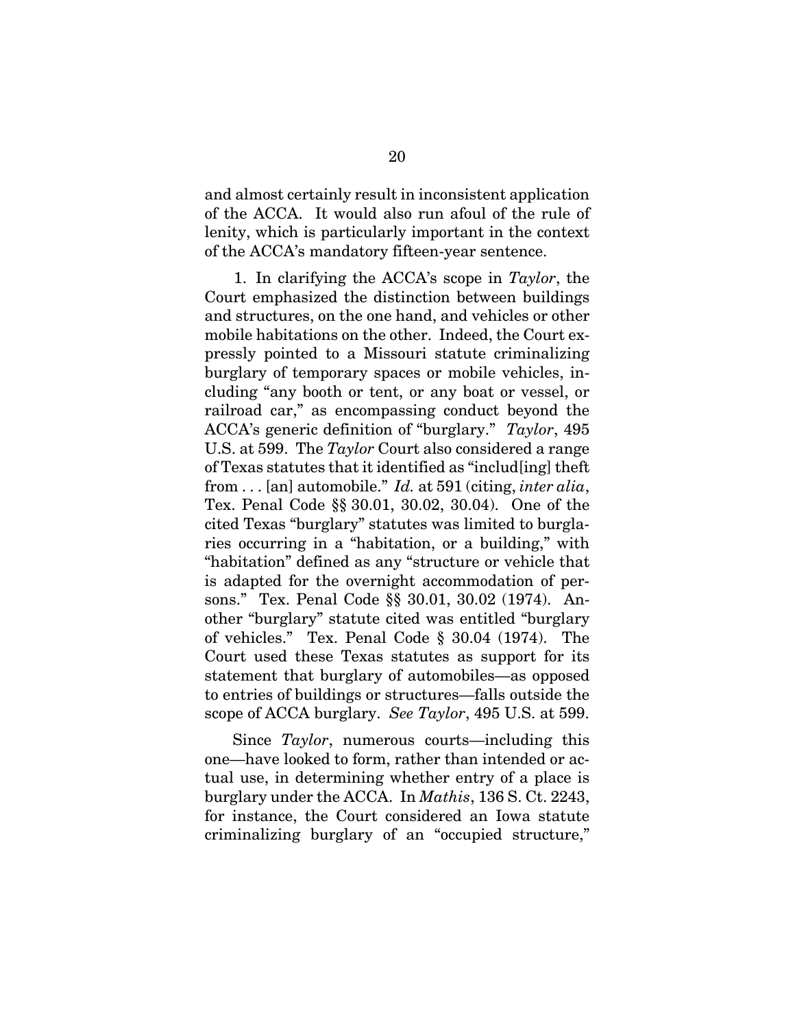and almost certainly result in inconsistent application of the ACCA. It would also run afoul of the rule of lenity, which is particularly important in the context of the ACCA's mandatory fifteen-year sentence.

1. In clarifying the ACCA's scope in *Taylor*, the Court emphasized the distinction between buildings and structures, on the one hand, and vehicles or other mobile habitations on the other. Indeed, the Court expressly pointed to a Missouri statute criminalizing burglary of temporary spaces or mobile vehicles, including "any booth or tent, or any boat or vessel, or railroad car," as encompassing conduct beyond the ACCA's generic definition of "burglary." *Taylor*, 495 U.S. at 599. The *Taylor* Court also considered a range of Texas statutes that it identified as "includ[ing] theft from . . . [an] automobile." *Id.* at 591 (citing, *inter alia*, Tex. Penal Code §§ 30.01, 30.02, 30.04). One of the cited Texas "burglary" statutes was limited to burglaries occurring in a "habitation, or a building," with "habitation" defined as any "structure or vehicle that is adapted for the overnight accommodation of persons." Tex. Penal Code §§ 30.01, 30.02 (1974). Another "burglary" statute cited was entitled "burglary of vehicles." Tex. Penal Code § 30.04 (1974). The Court used these Texas statutes as support for its statement that burglary of automobiles—as opposed to entries of buildings or structures—falls outside the scope of ACCA burglary. *See Taylor*, 495 U.S. at 599.

Since *Taylor*, numerous courts—including this one—have looked to form, rather than intended or actual use, in determining whether entry of a place is burglary under the ACCA. In *Mathis*, 136 S. Ct. 2243, for instance, the Court considered an Iowa statute criminalizing burglary of an "occupied structure,"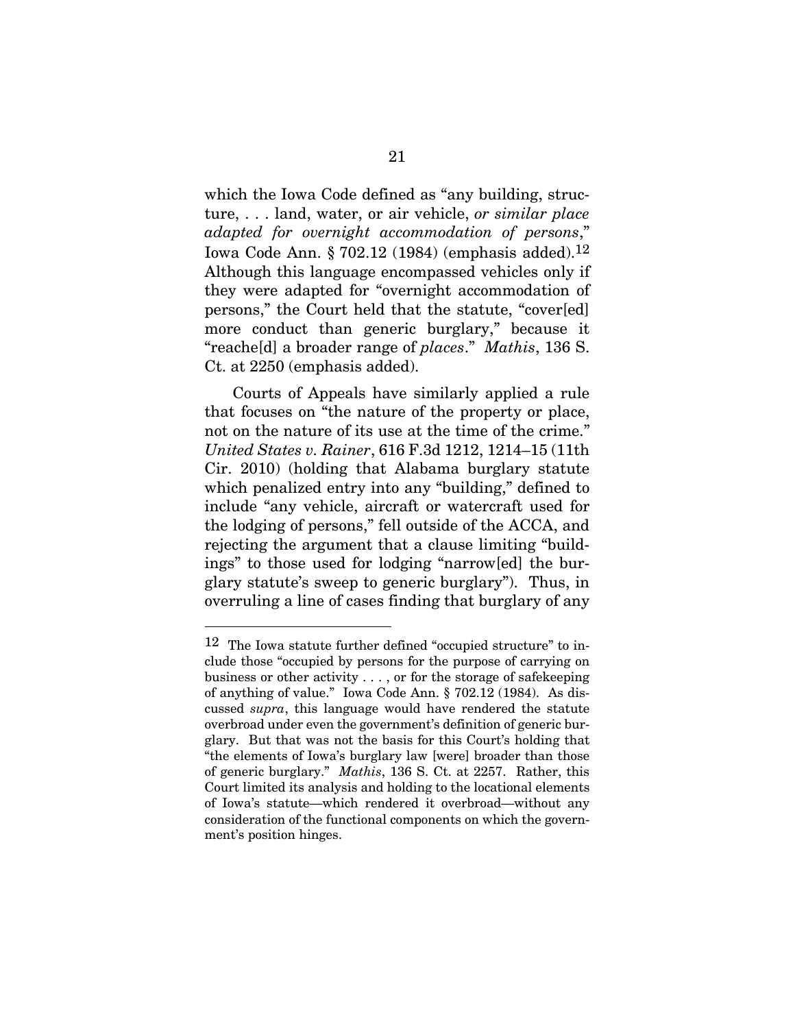which the Iowa Code defined as "any building, structure, . . . land, water, or air vehicle, *or similar place adapted for overnight accommodation of persons*," Iowa Code Ann. § 702.12 (1984) (emphasis added).12 Although this language encompassed vehicles only if they were adapted for "overnight accommodation of persons," the Court held that the statute, "cover[ed] more conduct than generic burglary," because it "reache[d] a broader range of *places*." *Mathis*, 136 S. Ct. at 2250 (emphasis added).

Courts of Appeals have similarly applied a rule that focuses on "the nature of the property or place, not on the nature of its use at the time of the crime." *United States v. Rainer*, 616 F.3d 1212, 1214–15 (11th Cir. 2010) (holding that Alabama burglary statute which penalized entry into any "building," defined to include "any vehicle, aircraft or watercraft used for the lodging of persons," fell outside of the ACCA, and rejecting the argument that a clause limiting "buildings" to those used for lodging "narrow[ed] the burglary statute's sweep to generic burglary"). Thus, in overruling a line of cases finding that burglary of any

<sup>12</sup> The Iowa statute further defined "occupied structure" to include those "occupied by persons for the purpose of carrying on business or other activity . . . , or for the storage of safekeeping of anything of value." Iowa Code Ann. § 702.12 (1984). As discussed *supra*, this language would have rendered the statute overbroad under even the government's definition of generic burglary. But that was not the basis for this Court's holding that "the elements of Iowa's burglary law [were] broader than those of generic burglary." *Mathis*, 136 S. Ct. at 2257. Rather, this Court limited its analysis and holding to the locational elements of Iowa's statute—which rendered it overbroad—without any consideration of the functional components on which the government's position hinges.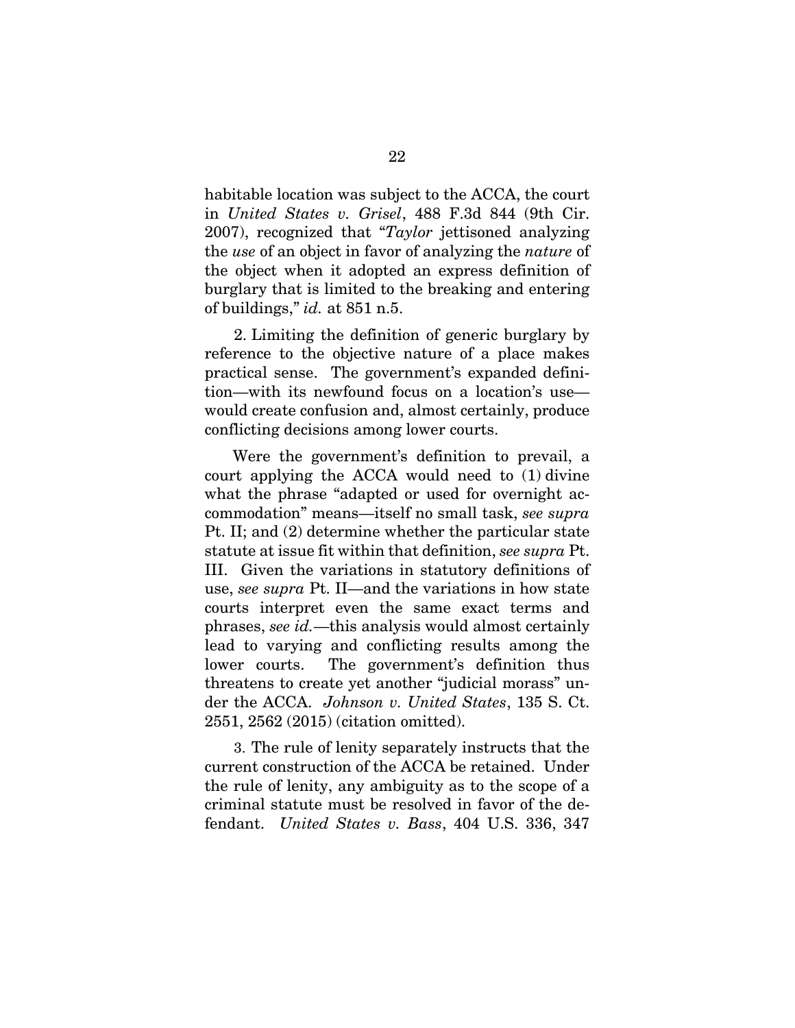habitable location was subject to the ACCA, the court in *United States v. Grisel*, 488 F.3d 844 (9th Cir. 2007), recognized that "*Taylor* jettisoned analyzing the *use* of an object in favor of analyzing the *nature* of the object when it adopted an express definition of burglary that is limited to the breaking and entering of buildings," *id.* at 851 n.5.

2. Limiting the definition of generic burglary by reference to the objective nature of a place makes practical sense. The government's expanded definition—with its newfound focus on a location's use would create confusion and, almost certainly, produce conflicting decisions among lower courts.

Were the government's definition to prevail, a court applying the ACCA would need to (1) divine what the phrase "adapted or used for overnight accommodation" means—itself no small task, *see supra*  Pt. II; and (2) determine whether the particular state statute at issue fit within that definition, *see supra* Pt. III. Given the variations in statutory definitions of use, *see supra* Pt. II—and the variations in how state courts interpret even the same exact terms and phrases, *see id.*—this analysis would almost certainly lead to varying and conflicting results among the lower courts. The government's definition thus threatens to create yet another "judicial morass" under the ACCA. *Johnson v. United States*, 135 S. Ct. 2551, 2562 (2015) (citation omitted).

3. The rule of lenity separately instructs that the current construction of the ACCA be retained. Under the rule of lenity, any ambiguity as to the scope of a criminal statute must be resolved in favor of the defendant. *United States v. Bass*, 404 U.S. 336, 347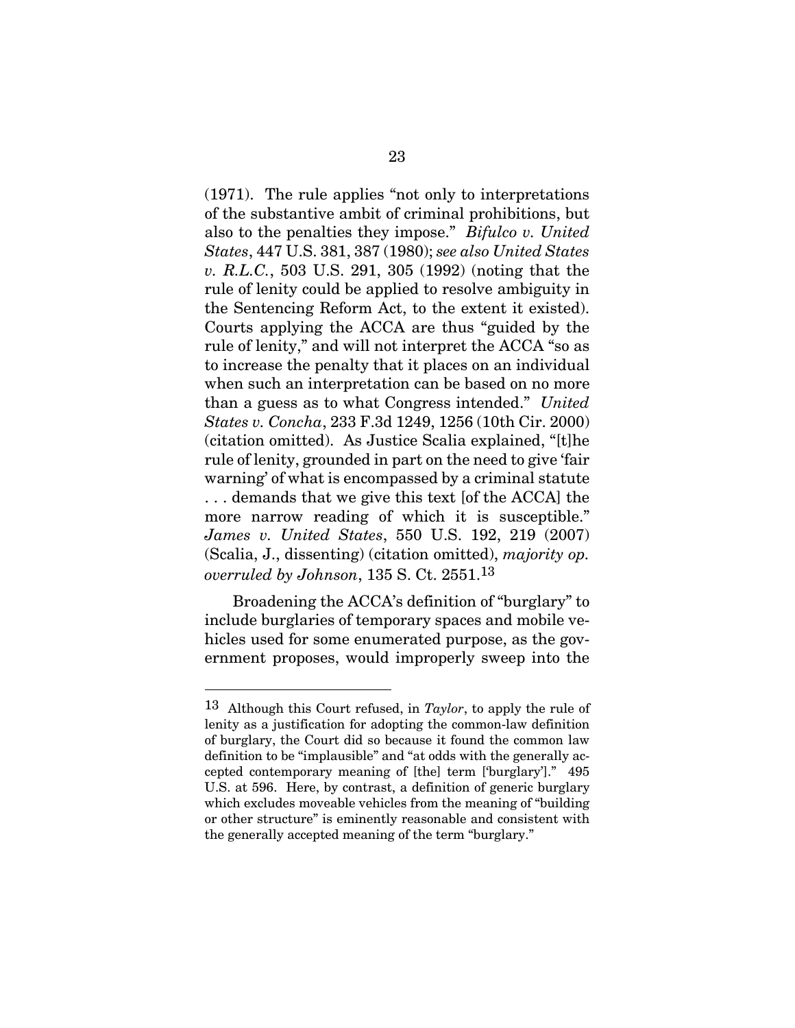(1971). The rule applies "not only to interpretations of the substantive ambit of criminal prohibitions, but also to the penalties they impose." *Bifulco v. United States*, 447 U.S. 381, 387 (1980); *see also United States v. R.L.C.*, 503 U.S. 291, 305 (1992) (noting that the rule of lenity could be applied to resolve ambiguity in the Sentencing Reform Act, to the extent it existed). Courts applying the ACCA are thus "guided by the rule of lenity," and will not interpret the ACCA "so as to increase the penalty that it places on an individual when such an interpretation can be based on no more than a guess as to what Congress intended." *United States v. Concha*, 233 F.3d 1249, 1256 (10th Cir. 2000) (citation omitted). As Justice Scalia explained, "[t]he rule of lenity, grounded in part on the need to give 'fair warning' of what is encompassed by a criminal statute . . . demands that we give this text [of the ACCA] the more narrow reading of which it is susceptible." *James v. United States*, 550 U.S. 192, 219 (2007) (Scalia, J., dissenting) (citation omitted), *majority op. overruled by Johnson*, 135 S. Ct. 2551.13

Broadening the ACCA's definition of "burglary" to include burglaries of temporary spaces and mobile vehicles used for some enumerated purpose, as the government proposes, would improperly sweep into the

l

<sup>13</sup> Although this Court refused, in *Taylor*, to apply the rule of lenity as a justification for adopting the common-law definition of burglary, the Court did so because it found the common law definition to be "implausible" and "at odds with the generally accepted contemporary meaning of [the] term ['burglary']." 495 U.S. at 596. Here, by contrast, a definition of generic burglary which excludes moveable vehicles from the meaning of "building or other structure" is eminently reasonable and consistent with the generally accepted meaning of the term "burglary."